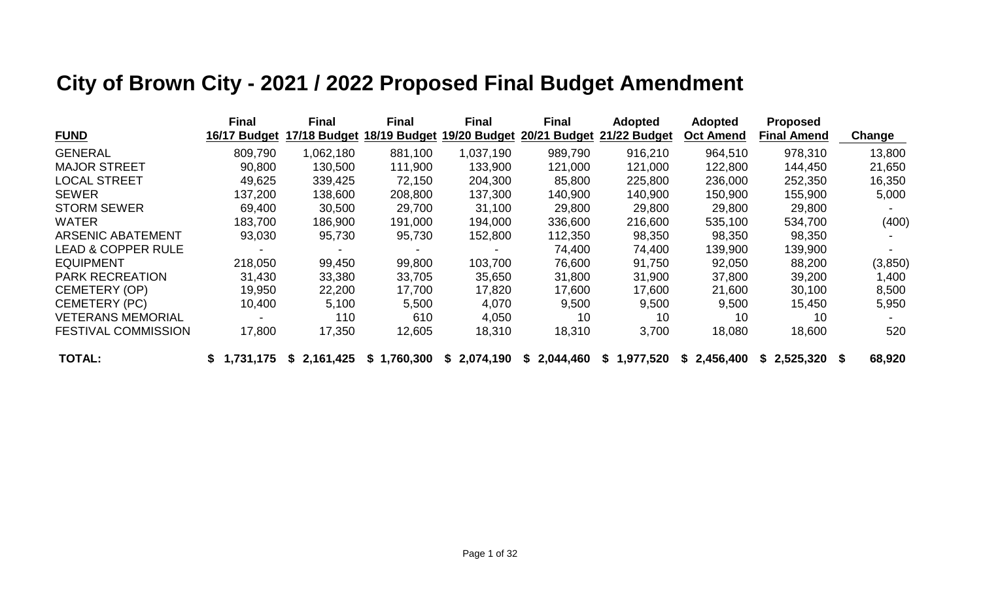# **City of Brown City - 2021 / 2022 Proposed Final Budget Amendment**

|                               | <b>Final</b> | <b>Final</b> | <b>Final</b> | <b>Final</b>    | <b>Final</b>           | <b>Adopted</b> | <b>Adopted</b>   | <b>Proposed</b>    |          |
|-------------------------------|--------------|--------------|--------------|-----------------|------------------------|----------------|------------------|--------------------|----------|
| <b>FUND</b>                   | 16/17 Budget | 17/18 Budget | 18/19 Budget | 19/20 Budget    | <b>Budget</b><br>20/21 | 21/22 Budget   | <b>Oct Amend</b> | <b>Final Amend</b> | Change   |
| <b>GENERAL</b>                | 809,790      | 1,062,180    | 881,100      | 1,037,190       | 989,790                | 916,210        | 964,510          | 978,310            | 13,800   |
| <b>MAJOR STREET</b>           | 90,800       | 130,500      | 111,900      | 133,900         | 121,000                | 121,000        | 122,800          | 144,450            | 21,650   |
| <b>LOCAL STREET</b>           | 49,625       | 339,425      | 72,150       | 204,300         | 85,800                 | 225,800        | 236,000          | 252,350            | 16,350   |
| <b>SEWER</b>                  | 137,200      | 138,600      | 208,800      | 137,300         | 140,900                | 140,900        | 150,900          | 155,900            | 5,000    |
| <b>STORM SEWER</b>            | 69,400       | 30,500       | 29,700       | 31,100          | 29,800                 | 29,800         | 29,800           | 29,800             |          |
| <b>WATER</b>                  | 183,700      | 186,900      | 191,000      | 194,000         | 336,600                | 216,600        | 535,100          | 534,700            | (400)    |
| <b>ARSENIC ABATEMENT</b>      | 93,030       | 95,730       | 95,730       | 152,800         | 112,350                | 98,350         | 98,350           | 98,350             |          |
| <b>LEAD &amp; COPPER RULE</b> |              |              |              |                 | 74,400                 | 74,400         | 139,900          | 139,900            |          |
| <b>EQUIPMENT</b>              | 218,050      | 99,450       | 99,800       | 103,700         | 76,600                 | 91,750         | 92,050           | 88,200             | (3, 850) |
| <b>PARK RECREATION</b>        | 31,430       | 33,380       | 33,705       | 35,650          | 31,800                 | 31,900         | 37,800           | 39,200             | 1,400    |
| <b>CEMETERY (OP)</b>          | 19,950       | 22,200       | 17,700       | 17,820          | 17,600                 | 17,600         | 21,600           | 30,100             | 8,500    |
| <b>CEMETERY (PC)</b>          | 10,400       | 5,100        | 5,500        | 4,070           | 9,500                  | 9,500          | 9,500            | 15,450             | 5,950    |
| <b>VETERANS MEMORIAL</b>      |              | 110          | 610          | 4,050           | 10                     | 10             | 10               | 10                 |          |
| <b>FESTIVAL COMMISSION</b>    | 17,800       | 17,350       | 12,605       | 18,310          | 18,310                 | 3,700          | 18,080           | 18,600             | 520      |
| <b>TOTAL:</b>                 | \$1,731,175  | \$2,161,425  | \$1,760,300  | 2,074,190<br>S. | 2,044,460<br>S.        | \$1,977,520    | \$2,456,400      | \$2,525,320        | 68,920   |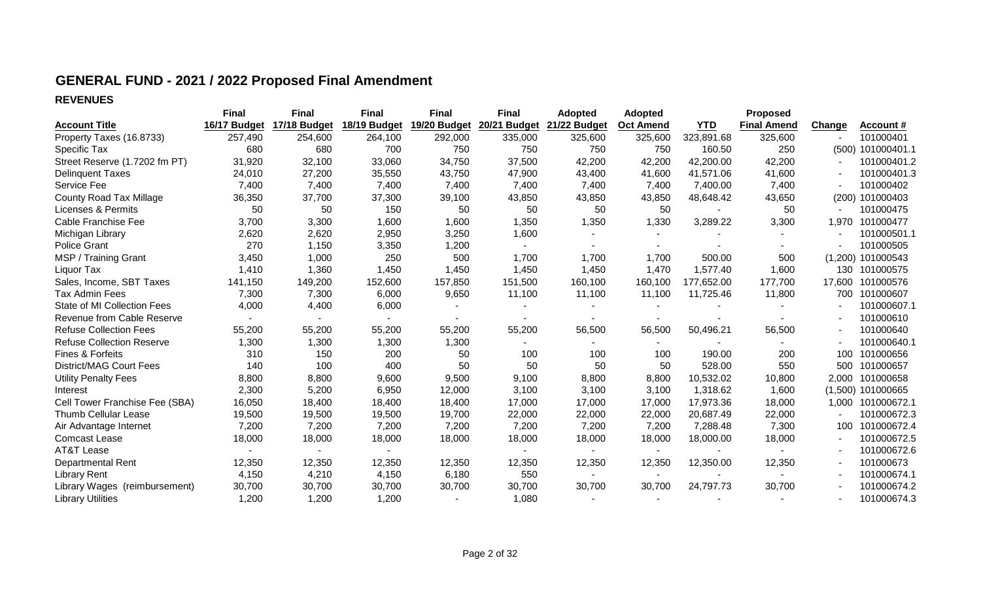## **GENERAL FUND - 2021 / 2022 Proposed Final Amendment**

### **REVENUES**

|                                    | <b>Final</b> | <b>Final</b> | <b>Final</b> | <b>Final</b> | <b>Final</b> | <b>Adopted</b> | <b>Adopted</b>   |            | <b>Proposed</b>    |        |                     |
|------------------------------------|--------------|--------------|--------------|--------------|--------------|----------------|------------------|------------|--------------------|--------|---------------------|
| <b>Account Title</b>               | 16/17 Budget | 17/18 Budget | 18/19 Budget | 19/20 Budget | 20/21 Budget | 21/22 Budget   | <b>Oct Amend</b> | <b>YTD</b> | <b>Final Amend</b> | Change | Account #           |
| Property Taxes (16.8733)           | 257,490      | 254,600      | 264,100      | 292,000      | 335,000      | 325,600        | 325,600          | 323,891.68 | 325,600            |        | 101000401           |
| Specific Tax                       | 680          | 680          | 700          | 750          | 750          | 750            | 750              | 160.50     | 250                |        | (500) 101000401.1   |
| Street Reserve (1.7202 fm PT)      | 31,920       | 32,100       | 33,060       | 34,750       | 37,500       | 42,200         | 42,200           | 42,200.00  | 42,200             |        | 101000401.2         |
| <b>Delinquent Taxes</b>            | 24,010       | 27,200       | 35,550       | 43,750       | 47,900       | 43,400         | 41,600           | 41,571.06  | 41,600             |        | 101000401.3         |
| Service Fee                        | 7,400        | 7,400        | 7,400        | 7,400        | 7,400        | 7,400          | 7,400            | 7,400.00   | 7,400              | $\sim$ | 101000402           |
| <b>County Road Tax Millage</b>     | 36,350       | 37,700       | 37,300       | 39,100       | 43,850       | 43,850         | 43,850           | 48,648.42  | 43,650             |        | (200) 101000403     |
| <b>Licenses &amp; Permits</b>      | 50           | 50           | 150          | 50           | 50           | 50             | 50               |            | 50                 |        | 101000475           |
| <b>Cable Franchise Fee</b>         | 3,700        | 3,300        | 1,600        | 1,600        | 1,350        | 1,350          | 1,330            | 3,289.22   | 3,300              | 1,970  | 101000477           |
| Michigan Library                   | 2,620        | 2,620        | 2,950        | 3,250        | 1,600        |                |                  |            |                    |        | 101000501.1         |
| <b>Police Grant</b>                | 270          | 1,150        | 3,350        | 1,200        |              |                |                  |            |                    |        | 101000505           |
| MSP / Training Grant               | 3,450        | 1,000        | 250          | 500          | 1,700        | 1,700          | 1,700            | 500.00     | 500                |        | $(1,200)$ 101000543 |
| Liquor Tax                         | 1,410        | 1,360        | 1,450        | 1,450        | 1,450        | 1,450          | 1,470            | 1,577.40   | 1,600              |        | 130 101000575       |
| Sales, Income, SBT Taxes           | 141,150      | 149,200      | 152,600      | 157,850      | 151,500      | 160,100        | 160,100          | 177,652.00 | 177,700            | 17,600 | 101000576           |
| <b>Tax Admin Fees</b>              | 7,300        | 7,300        | 6,000        | 9,650        | 11,100       | 11,100         | 11,100           | 11,725.46  | 11,800             | 700    | 101000607           |
| <b>State of MI Collection Fees</b> | 4,000        | 4,400        | 6,000        |              |              |                |                  |            |                    |        | 101000607.1         |
| Revenue from Cable Reserve         |              |              |              |              |              |                |                  |            |                    |        | 101000610           |
| <b>Refuse Collection Fees</b>      | 55,200       | 55,200       | 55,200       | 55,200       | 55,200       | 56,500         | 56,500           | 50,496.21  | 56,500             |        | 101000640           |
| <b>Refuse Collection Reserve</b>   | 1,300        | 1,300        | 1,300        | 1,300        |              |                |                  |            |                    |        | 101000640.1         |
| Fines & Forfeits                   | 310          | 150          | 200          | 50           | 100          | 100            | 100              | 190.00     | 200                | 100    | 101000656           |
| <b>District/MAG Court Fees</b>     | 140          | 100          | 400          | 50           | 50           | 50             | 50               | 528.00     | 550                | 500    | 101000657           |
| <b>Utility Penalty Fees</b>        | 8,800        | 8,800        | 9,600        | 9,500        | 9,100        | 8,800          | 8,800            | 10,532.02  | 10,800             | 2,000  | 101000658           |
| Interest                           | 2,300        | 5,200        | 6,950        | 12,000       | 3,100        | 3,100          | 3,100            | 1,318.62   | 1,600              |        | $(1,500)$ 101000665 |
| Cell Tower Franchise Fee (SBA)     | 16,050       | 18,400       | 18,400       | 18,400       | 17,000       | 17,000         | 17,000           | 17,973.36  | 18,000             |        | 1,000 101000672.1   |
| <b>Thumb Cellular Lease</b>        | 19,500       | 19,500       | 19,500       | 19,700       | 22,000       | 22,000         | 22,000           | 20,687.49  | 22,000             |        | 101000672.3         |
| Air Advantage Internet             | 7,200        | 7,200        | 7,200        | 7,200        | 7,200        | 7,200          | 7,200            | 7,288.48   | 7,300              | 100    | 101000672.4         |
| <b>Comcast Lease</b>               | 18,000       | 18,000       | 18,000       | 18,000       | 18,000       | 18,000         | 18,000           | 18,000.00  | 18,000             |        | 101000672.5         |
| <b>AT&amp;T Lease</b>              |              |              |              |              |              |                | $\sim$           |            |                    |        | 101000672.6         |
| <b>Departmental Rent</b>           | 12,350       | 12,350       | 12,350       | 12,350       | 12,350       | 12,350         | 12,350           | 12,350.00  | 12,350             |        | 101000673           |
| <b>Library Rent</b>                | 4,150        | 4,210        | 4,150        | 6,180        | 550          |                |                  |            |                    |        | 101000674.1         |
| Library Wages (reimbursement)      | 30,700       | 30,700       | 30,700       | 30,700       | 30,700       | 30,700         | 30,700           | 24,797.73  | 30,700             |        | 101000674.2         |
| <b>Library Utilities</b>           | 1,200        | 1,200        | 1,200        |              | 1,080        |                |                  |            |                    |        | 101000674.3         |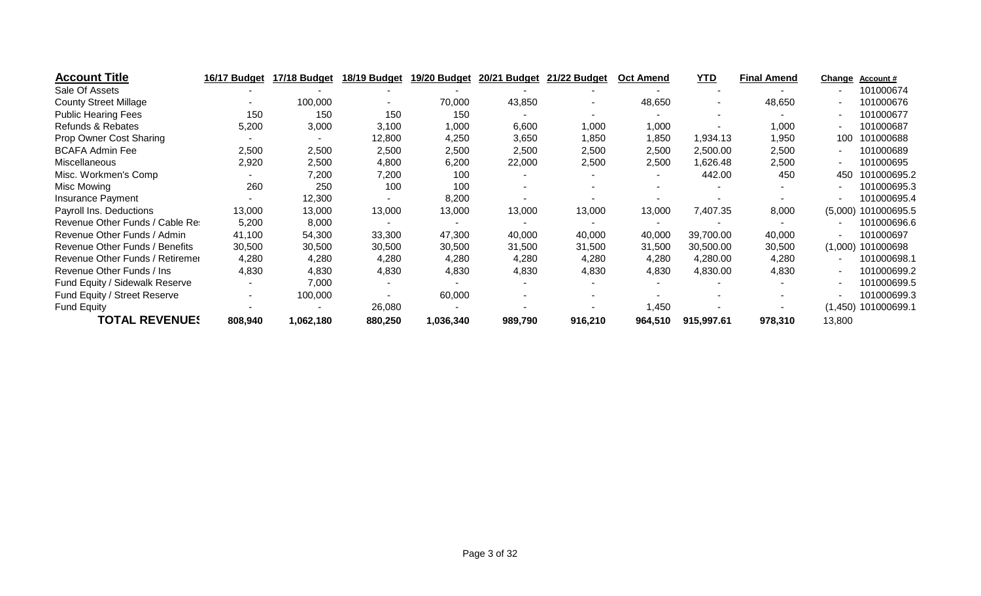| <b>Account Title</b>            | 16/17 Budget | 17/18 Budget             | 18/19 Budget | 19/20 Budget | 20/21 Budget | 21/22 Budget | <b>Oct Amend</b> | <b>YTD</b> | <b>Final Amend</b> | <b>Change</b> | Account#              |
|---------------------------------|--------------|--------------------------|--------------|--------------|--------------|--------------|------------------|------------|--------------------|---------------|-----------------------|
| Sale Of Assets                  |              |                          |              |              |              |              |                  |            |                    |               | 101000674             |
| <b>County Street Millage</b>    |              | 100,000                  |              | 70,000       | 43,850       |              | 48,650           |            | 48,650             | ۰.            | 101000676             |
| <b>Public Hearing Fees</b>      | 150          | 150                      | 150          | 150          |              |              |                  |            |                    |               | 101000677             |
| Refunds & Rebates               | 5,200        | 3,000                    | 3,100        | 1,000        | 6,600        | 1,000        | 1,000            |            | 1,000              |               | 101000687             |
| Prop Owner Cost Sharing         |              | $\overline{\phantom{a}}$ | 12,800       | 4,250        | 3,650        | 1,850        | 1,850            | 1,934.13   | 1,950              | 100           | 101000688             |
| <b>BCAFA Admin Fee</b>          | 2,500        | 2,500                    | 2,500        | 2,500        | 2,500        | 2,500        | 2,500            | 2,500.00   | 2,500              | ۰.            | 101000689             |
| <b>Miscellaneous</b>            | 2,920        | 2,500                    | 4,800        | 6,200        | 22,000       | 2,500        | 2,500            | 1,626.48   | 2,500              | ۰.            | 101000695             |
| Misc. Workmen's Comp            |              | 7,200                    | 7,200        | 100          |              |              |                  | 442.00     | 450                | 450           | 101000695.2           |
| Misc Mowing                     | 260          | 250                      | 100          | 100          |              |              |                  |            |                    | ۰.            | 101000695.3           |
| Insurance Payment               |              | 12,300                   |              | 8,200        |              |              |                  |            |                    |               | 101000695.4           |
| Payroll Ins. Deductions         | 13,000       | 13,000                   | 13,000       | 13,000       | 13,000       | 13,000       | 13,000           | 7,407.35   | 8,000              | (5,000)       | 101000695.5           |
| Revenue Other Funds / Cable Res | 5,200        | 8,000                    |              |              |              |              |                  |            |                    |               | 101000696.6           |
| Revenue Other Funds / Admin     | 41,100       | 54,300                   | 33,300       | 47,300       | 40,000       | 40,000       | 40,000           | 39,700.00  | 40,000             | ٠.            | 101000697             |
| Revenue Other Funds / Benefits  | 30,500       | 30,500                   | 30,500       | 30,500       | 31,500       | 31,500       | 31,500           | 30,500.00  | 30,500             | (1,000)       | 101000698             |
| Revenue Other Funds / Retiremer | 4,280        | 4,280                    | 4,280        | 4,280        | 4,280        | 4,280        | 4,280            | 4,280.00   | 4,280              |               | 101000698.1           |
| Revenue Other Funds / Ins.      | 4,830        | 4,830                    | 4,830        | 4,830        | 4,830        | 4,830        | 4,830            | 4,830.00   | 4,830              |               | 101000699.2           |
| Fund Equity / Sidewalk Reserve  |              | 7,000                    |              |              |              |              |                  |            |                    | ۰.            | 101000699.5           |
| Fund Equity / Street Reserve    | ۰.           | 100,000                  |              | 60,000       |              |              |                  |            |                    |               | 101000699.3           |
| <b>Fund Equity</b>              |              |                          | 26,080       |              |              |              | 1,450            |            |                    |               | $(1,450)$ 101000699.1 |
| <b>TOTAL REVENUES</b>           | 808,940      | 1,062,180                | 880,250      | 1,036,340    | 989,790      | 916,210      | 964,510          | 915,997.61 | 978,310            | 13,800        |                       |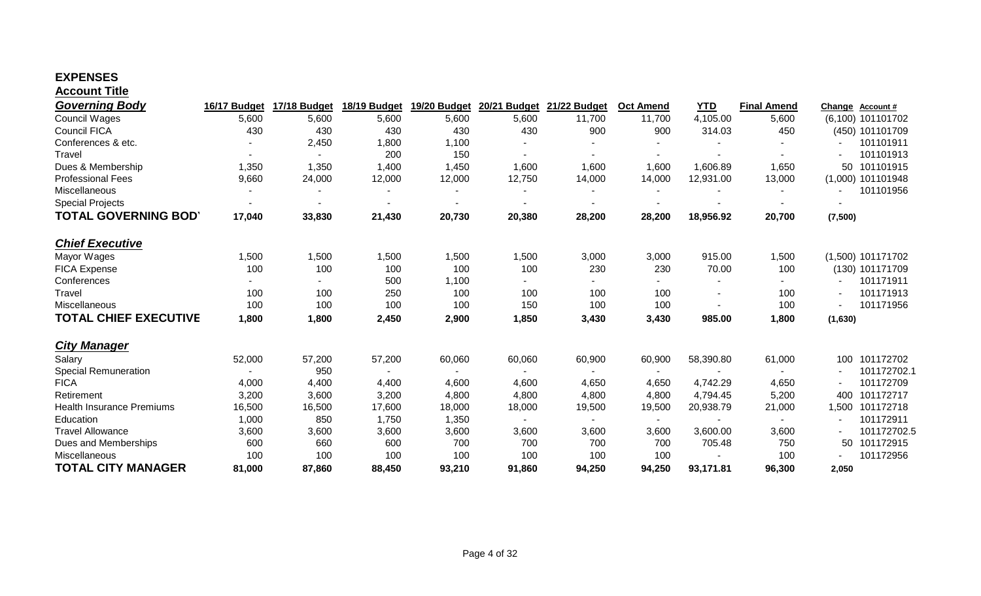### **EXPENSES Account Title**

| <b>Governing Body</b>            | 16/17 Budget | 17/18 Budget | 18/19 Budget | 19/20 Budget   | 20/21 Budget | 21/22 Budget | <b>Oct Amend</b> | <b>YTD</b> | <b>Final Amend</b> | Change  | <b>Account #</b>    |
|----------------------------------|--------------|--------------|--------------|----------------|--------------|--------------|------------------|------------|--------------------|---------|---------------------|
| Council Wages                    | 5,600        | 5,600        | 5,600        | 5,600          | 5,600        | 11,700       | 11,700           | 4,105.00   | 5,600              |         | (6,100) 101101702   |
| <b>Council FICA</b>              | 430          | 430          | 430          | 430            | 430          | 900          | 900              | 314.03     | 450                |         | (450) 101101709     |
| Conferences & etc.               |              | 2,450        | 1,800        | 1,100          |              |              |                  |            |                    |         | 101101911           |
| Travel                           |              |              | 200          | 150            |              |              | ٠                |            |                    |         | 101101913           |
| Dues & Membership                | 1,350        | 1,350        | 1,400        | 1,450          | 1,600        | 1,600        | 1,600            | 1,606.89   | 1,650              | 50      | 101101915           |
| <b>Professional Fees</b>         | 9,660        | 24,000       | 12,000       | 12,000         | 12,750       | 14,000       | 14,000           | 12,931.00  | 13,000             |         | $(1,000)$ 101101948 |
| Miscellaneous                    |              |              |              |                |              |              |                  |            |                    |         | 101101956           |
| <b>Special Projects</b>          |              |              |              |                |              |              |                  |            |                    |         |                     |
| <b>TOTAL GOVERNING BOD'</b>      | 17,040       | 33,830       | 21,430       | 20,730         | 20,380       | 28,200       | 28,200           | 18,956.92  | 20,700             | (7,500) |                     |
| <b>Chief Executive</b>           |              |              |              |                |              |              |                  |            |                    |         |                     |
| Mayor Wages                      | 1,500        | 1,500        | 1,500        | 1,500          | 1,500        | 3,000        | 3,000            | 915.00     | 1,500              |         | $(1,500)$ 101171702 |
| <b>FICA Expense</b>              | 100          | 100          | 100          | 100            | 100          | 230          | 230              | 70.00      | 100                |         | (130) 101171709     |
| Conferences                      |              |              | 500          | 1,100          |              |              |                  |            | $\blacksquare$     |         | 101171911           |
| Travel                           | 100          | 100          | 250          | 100            | 100          | 100          | 100              |            | 100                |         | 101171913           |
| Miscellaneous                    | 100          | 100          | 100          | 100            | 150          | 100          | 100              |            | 100                |         | 101171956           |
| <b>TOTAL CHIEF EXECUTIVE</b>     | 1,800        | 1,800        | 2,450        | 2,900          | 1,850        | 3,430        | 3,430            | 985.00     | 1,800              | (1,630) |                     |
| <b>City Manager</b>              |              |              |              |                |              |              |                  |            |                    |         |                     |
| Salary                           | 52,000       | 57,200       | 57,200       | 60,060         | 60,060       | 60,900       | 60,900           | 58,390.80  | 61,000             | 100     | 101172702           |
| <b>Special Remuneration</b>      |              | 950          | $\sim$       | $\blacksquare$ |              |              | $\sim$           |            |                    | $\sim$  | 101172702.1         |
| <b>FICA</b>                      | 4,000        | 4,400        | 4,400        | 4,600          | 4,600        | 4,650        | 4,650            | 4,742.29   | 4,650              |         | 101172709           |
| Retirement                       | 3,200        | 3,600        | 3,200        | 4,800          | 4,800        | 4,800        | 4,800            | 4,794.45   | 5,200              | 400     | 101172717           |
| <b>Health Insurance Premiums</b> | 16,500       | 16,500       | 17,600       | 18,000         | 18,000       | 19,500       | 19,500           | 20,938.79  | 21,000             | 1,500   | 101172718           |
| Education                        | 1,000        | 850          | 1,750        | 1,350          | $\sim$       | $\sim$       | $\sim$           | $\sim$     | $\sim$             | $\sim$  | 101172911           |
| <b>Travel Allowance</b>          | 3,600        | 3,600        | 3,600        | 3,600          | 3,600        | 3,600        | 3,600            | 3,600.00   | 3,600              | $\sim$  | 101172702.5         |
| Dues and Memberships             | 600          | 660          | 600          | 700            | 700          | 700          | 700              | 705.48     | 750                | 50      | 101172915           |
| Miscellaneous                    | 100          | 100          | 100          | 100            | 100          | 100          | 100              |            | 100                |         | 101172956           |
| <b>TOTAL CITY MANAGER</b>        | 81,000       | 87,860       | 88,450       | 93,210         | 91,860       | 94,250       | 94,250           | 93,171.81  | 96,300             | 2.050   |                     |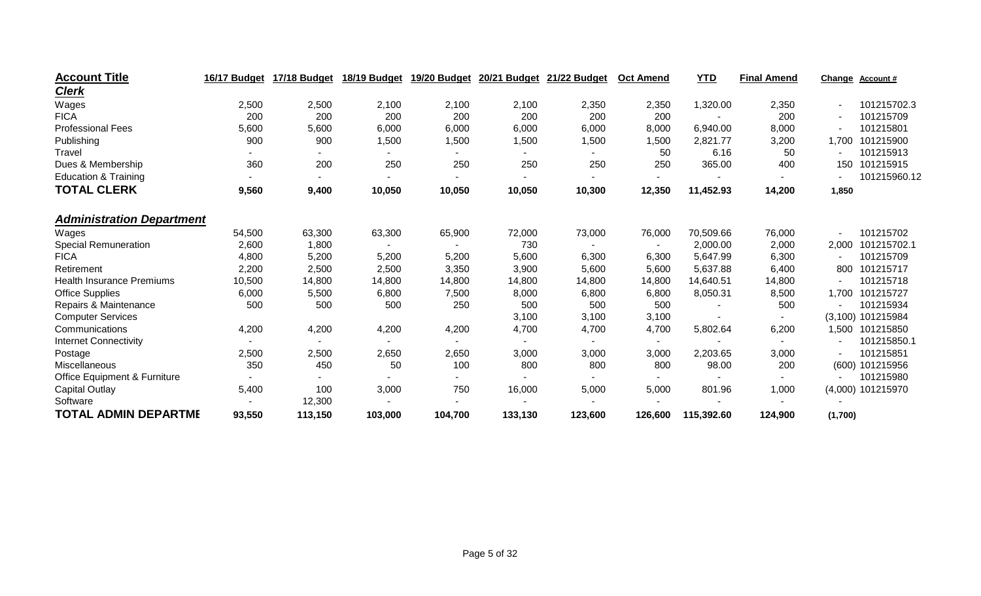| <b>Account Title</b>                    | 16/17 Budget | 17/18 Budget   | 18/19 Budget | 19/20 Budget | 20/21 Budget | 21/22 Budget | <b>Oct Amend</b>         | <b>YTD</b> | <b>Final Amend</b> | <b>Change</b> | <b>Account #</b>  |
|-----------------------------------------|--------------|----------------|--------------|--------------|--------------|--------------|--------------------------|------------|--------------------|---------------|-------------------|
| <b>Clerk</b>                            |              |                |              |              |              |              |                          |            |                    |               |                   |
| Wages                                   | 2,500        | 2,500          | 2,100        | 2,100        | 2,100        | 2,350        | 2,350                    | 1,320.00   | 2,350              |               | 101215702.3       |
| <b>FICA</b>                             | 200          | 200            | 200          | 200          | 200          | 200          | 200                      |            | 200                |               | 101215709         |
| <b>Professional Fees</b>                | 5,600        | 5,600          | 6,000        | 6,000        | 6,000        | 6,000        | 8,000                    | 6,940.00   | 8,000              |               | 101215801         |
| Publishing                              | 900          | 900            | 1,500        | 1,500        | 1,500        | 1,500        | 1,500                    | 2,821.77   | 3,200              | 1,700         | 101215900         |
| Travel                                  |              |                |              |              |              |              | 50                       | 6.16       | 50                 |               | 101215913         |
| Dues & Membership                       | 360          | 200            | 250          | 250          | 250          | 250          | 250                      | 365.00     | 400                | 150           | 101215915         |
| <b>Education &amp; Training</b>         |              |                |              |              |              |              | $\overline{\phantom{a}}$ |            |                    |               | 101215960.12      |
| <b>TOTAL CLERK</b>                      | 9,560        | 9,400          | 10,050       | 10,050       | 10,050       | 10,300       | 12,350                   | 11,452.93  | 14,200             | 1,850         |                   |
| <b>Administration Department</b>        |              |                |              |              |              |              |                          |            |                    |               |                   |
| Wages                                   | 54,500       | 63,300         | 63,300       | 65,900       | 72,000       | 73,000       | 76,000                   | 70,509.66  | 76,000             |               | 101215702         |
| <b>Special Remuneration</b>             | 2,600        | 1,800          |              |              | 730          |              |                          | 2,000.00   | 2,000              | 2,000         | 101215702.1       |
| <b>FICA</b>                             | 4,800        | 5,200          | 5,200        | 5,200        | 5,600        | 6,300        | 6,300                    | 5,647.99   | 6,300              |               | 101215709         |
| Retirement                              | 2,200        | 2,500          | 2,500        | 3,350        | 3,900        | 5,600        | 5,600                    | 5,637.88   | 6,400              | 800           | 101215717         |
| <b>Health Insurance Premiums</b>        | 10,500       | 14,800         | 14,800       | 14,800       | 14,800       | 14,800       | 14,800                   | 14,640.51  | 14,800             |               | 101215718         |
| <b>Office Supplies</b>                  | 6,000        | 5,500          | 6,800        | 7,500        | 8,000        | 6,800        | 6,800                    | 8,050.31   | 8,500              | 1,700         | 101215727         |
| Repairs & Maintenance                   | 500          | 500            | 500          | 250          | 500          | 500          | 500                      |            | 500                |               | 101215934         |
| <b>Computer Services</b>                |              |                |              |              | 3,100        | 3,100        | 3,100                    |            |                    |               | (3,100) 101215984 |
| Communications                          | 4,200        | 4,200          | 4,200        | 4,200        | 4,700        | 4,700        | 4,700                    | 5,802.64   | 6,200              |               | 1,500 101215850   |
| <b>Internet Connectivity</b>            |              | $\blacksquare$ | $\sim$       |              |              |              | $\blacksquare$           |            |                    |               | 101215850.1       |
| Postage                                 | 2,500        | 2,500          | 2,650        | 2,650        | 3,000        | 3,000        | 3,000                    | 2,203.65   | 3,000              |               | 101215851         |
| Miscellaneous                           | 350          | 450            | 50           | 100          | 800          | 800          | 800                      | 98.00      | 200                |               | (600) 101215956   |
| <b>Office Equipment &amp; Furniture</b> |              |                |              |              |              |              | ٠                        |            |                    |               | 101215980         |
| Capital Outlay                          | 5,400        | 100            | 3,000        | 750          | 16,000       | 5,000        | 5,000                    | 801.96     | 1,000              |               | (4,000) 101215970 |
| Software                                |              | 12,300         |              |              |              |              |                          |            |                    |               |                   |
| <b>TOTAL ADMIN DEPARTME</b>             | 93,550       | 113,150        | 103,000      | 104,700      | 133,130      | 123,600      | 126,600                  | 115,392.60 | 124,900            | (1,700)       |                   |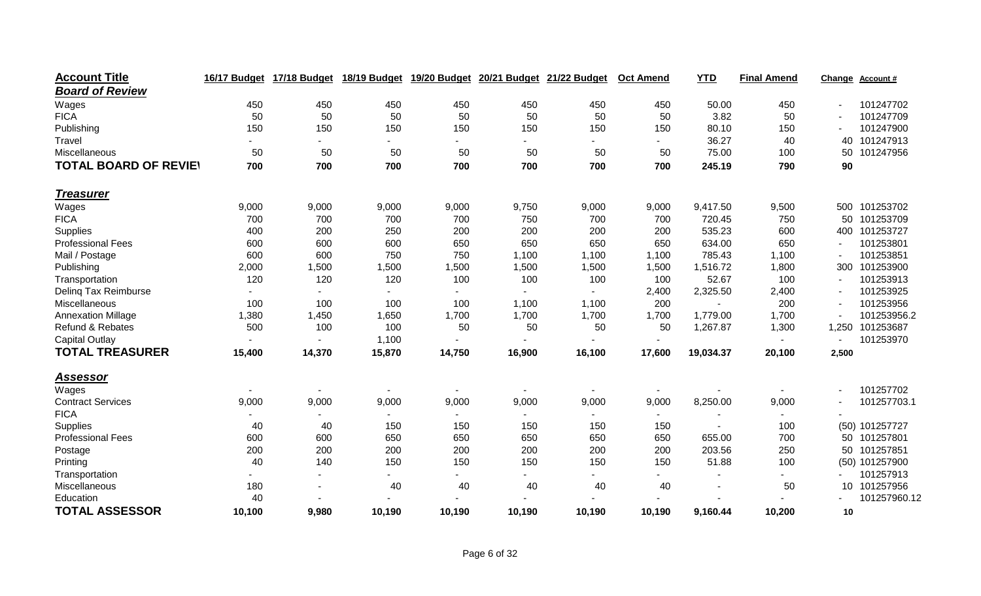| <b>Account Title</b>         | 16/17 Budget | 17/18 Budget | 18/19 Budget             | 19/20 Budget   | 20/21 Budget             | 21/22 Budget | <b>Oct Amend</b> | <b>YTD</b> | <b>Final Amend</b> | Change | Account#       |
|------------------------------|--------------|--------------|--------------------------|----------------|--------------------------|--------------|------------------|------------|--------------------|--------|----------------|
| <b>Board of Review</b>       |              |              |                          |                |                          |              |                  |            |                    |        |                |
| Wages                        | 450          | 450          | 450                      | 450            | 450                      | 450          | 450              | 50.00      | 450                |        | 101247702      |
| <b>FICA</b>                  | 50           | 50           | 50                       | 50             | 50                       | 50           | 50               | 3.82       | 50                 |        | 101247709      |
| Publishing                   | 150          | 150          | 150                      | 150            | 150                      | 150          | 150              | 80.10      | 150                |        | 101247900      |
| Travel                       |              |              |                          |                |                          |              |                  | 36.27      | 40                 | 40     | 101247913      |
| Miscellaneous                | 50           | 50           | 50                       | 50             | 50                       | 50           | 50               | 75.00      | 100                | 50     | 101247956      |
| <b>TOTAL BOARD OF REVIEY</b> | 700          | 700          | 700                      | 700            | 700                      | 700          | 700              | 245.19     | 790                | 90     |                |
| <b>Treasurer</b>             |              |              |                          |                |                          |              |                  |            |                    |        |                |
| Wages                        | 9,000        | 9,000        | 9,000                    | 9,000          | 9,750                    | 9,000        | 9,000            | 9,417.50   | 9,500              | 500    | 101253702      |
| <b>FICA</b>                  | 700          | 700          | 700                      | 700            | 750                      | 700          | 700              | 720.45     | 750                | 50     | 101253709      |
| Supplies                     | 400          | 200          | 250                      | 200            | 200                      | 200          | 200              | 535.23     | 600                | 400    | 101253727      |
| <b>Professional Fees</b>     | 600          | 600          | 600                      | 650            | 650                      | 650          | 650              | 634.00     | 650                |        | 101253801      |
| Mail / Postage               | 600          | 600          | 750                      | 750            | 1,100                    | 1,100        | 1,100            | 785.43     | 1,100              |        | 101253851      |
| Publishing                   | 2,000        | 1,500        | 1,500                    | 1,500          | 1,500                    | 1,500        | 1,500            | 1,516.72   | 1,800              | 300    | 101253900      |
| Transportation               | 120          | 120          | 120                      | 100            | 100                      | 100          | 100              | 52.67      | 100                |        | 101253913      |
| Deling Tax Reimburse         |              |              |                          |                |                          |              | 2,400            | 2,325.50   | 2,400              |        | 101253925      |
| Miscellaneous                | 100          | 100          | 100                      | 100            | 1,100                    | 1,100        | 200              |            | 200                |        | 101253956      |
| <b>Annexation Millage</b>    | 1,380        | 1,450        | 1,650                    | 1,700          | 1,700                    | 1,700        | 1,700            | 1,779.00   | 1,700              |        | 101253956.2    |
| Refund & Rebates             | 500          | 100          | 100                      | 50             | 50                       | 50           | 50               | 1,267.87   | 1,300              | 1,250  | 101253687      |
| <b>Capital Outlay</b>        |              |              | 1,100                    |                |                          |              |                  |            |                    |        | 101253970      |
| <b>TOTAL TREASURER</b>       | 15,400       | 14,370       | 15,870                   | 14,750         | 16,900                   | 16,100       | 17,600           | 19,034.37  | 20,100             | 2,500  |                |
| <u>Assessor</u>              |              |              |                          |                |                          |              |                  |            |                    |        |                |
| Wages                        |              |              | $\sim$                   | $\blacksquare$ | $\overline{\phantom{a}}$ |              |                  |            |                    |        | 101257702      |
| <b>Contract Services</b>     | 9,000        | 9,000        | 9,000                    | 9,000          | 9,000                    | 9,000        | 9,000            | 8,250.00   | 9,000              |        | 101257703.1    |
| <b>FICA</b>                  |              |              | $\overline{\phantom{0}}$ |                |                          |              | $\sim$           |            |                    |        |                |
| Supplies                     | 40           | 40           | 150                      | 150            | 150                      | 150          | 150              |            | 100                |        | (50) 101257727 |
| <b>Professional Fees</b>     | 600          | 600          | 650                      | 650            | 650                      | 650          | 650              | 655.00     | 700                | 50     | 101257801      |
| Postage                      | 200          | 200          | 200                      | 200            | 200                      | 200          | 200              | 203.56     | 250                | 50     | 101257851      |
| Printing                     | 40           | 140          | 150                      | 150            | 150                      | 150          | 150              | 51.88      | 100                |        | (50) 101257900 |
| Transportation               |              |              | $\overline{\phantom{0}}$ |                |                          |              | $\sim$           |            |                    |        | 101257913      |
| Miscellaneous                | 180          |              | 40                       | 40             | 40                       | 40           | 40               |            | 50                 | 10     | 101257956      |
| Education                    | 40           |              |                          |                |                          |              |                  |            |                    |        | 101257960.12   |
| <b>TOTAL ASSESSOR</b>        | 10,100       | 9,980        | 10,190                   | 10,190         | 10,190                   | 10,190       | 10,190           | 9,160.44   | 10,200             | 10     |                |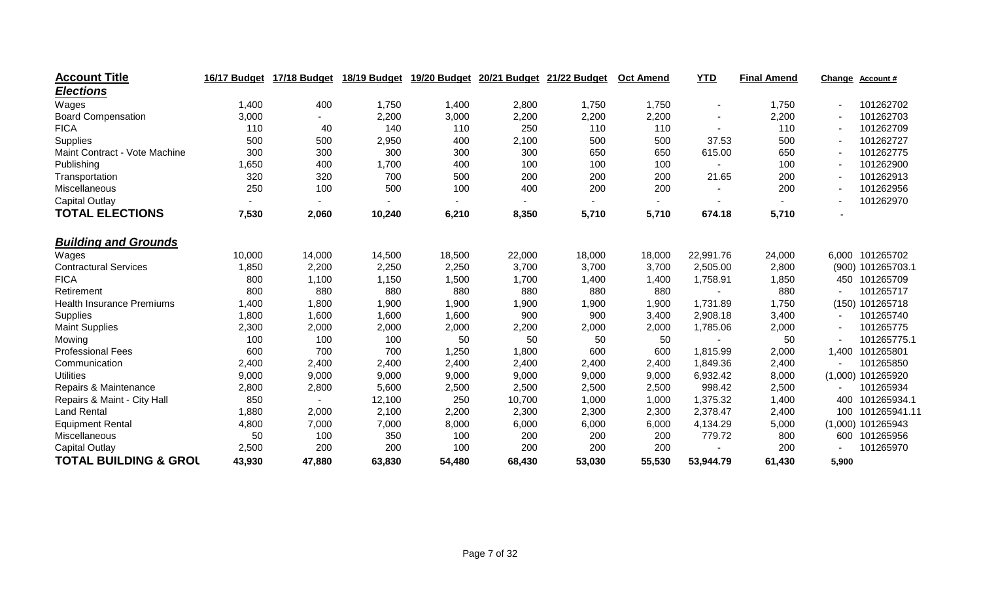| <b>Account Title</b>             | 16/17 Budget | 17/18 Budget | 18/19 Budget | 19/20 Budget | 20/21 Budget | 21/22 Budget | <b>Oct Amend</b>         | <b>YTD</b>               | <b>Final Amend</b> | Change | Account#            |
|----------------------------------|--------------|--------------|--------------|--------------|--------------|--------------|--------------------------|--------------------------|--------------------|--------|---------------------|
| <b>Elections</b>                 |              |              |              |              |              |              |                          |                          |                    |        |                     |
| Wages                            | 1,400        | 400          | 1,750        | 1,400        | 2,800        | 1,750        | 1,750                    | $\overline{\phantom{a}}$ | 1,750              |        | 101262702           |
| <b>Board Compensation</b>        | 3,000        | $\sim$       | 2,200        | 3,000        | 2,200        | 2,200        | 2,200                    | ۰                        | 2,200              |        | 101262703           |
| <b>FICA</b>                      | 110          | 40           | 140          | 110          | 250          | 110          | 110                      |                          | 110                |        | 101262709           |
| Supplies                         | 500          | 500          | 2,950        | 400          | 2,100        | 500          | 500                      | 37.53                    | 500                |        | 101262727           |
| Maint Contract - Vote Machine    | 300          | 300          | 300          | 300          | 300          | 650          | 650                      | 615.00                   | 650                |        | 101262775           |
| Publishing                       | ,650         | 400          | 1,700        | 400          | 100          | 100          | 100                      |                          | 100                |        | 101262900           |
| Transportation                   | 320          | 320          | 700          | 500          | 200          | 200          | 200                      | 21.65                    | 200                |        | 101262913           |
| Miscellaneous                    | 250          | 100          | 500          | 100          | 400          | 200          | 200                      |                          | 200                |        | 101262956           |
| <b>Capital Outlay</b>            |              |              |              |              |              |              | $\overline{\phantom{a}}$ |                          |                    |        | 101262970           |
| <b>TOTAL ELECTIONS</b>           | 7,530        | 2,060        | 10,240       | 6,210        | 8,350        | 5,710        | 5,710                    | 674.18                   | 5,710              |        |                     |
| <b>Building and Grounds</b>      |              |              |              |              |              |              |                          |                          |                    |        |                     |
| Wages                            | 10,000       | 14,000       | 14,500       | 18,500       | 22,000       | 18,000       | 18,000                   | 22,991.76                | 24,000             |        | 6,000 101265702     |
| <b>Contractural Services</b>     | 1,850        | 2,200        | 2,250        | 2,250        | 3,700        | 3,700        | 3,700                    | 2,505.00                 | 2,800              |        | (900) 101265703.1   |
| <b>FICA</b>                      | 800          | 1,100        | 1,150        | 1,500        | 1,700        | 1,400        | 1,400                    | 1,758.91                 | 1,850              |        | 450 101265709       |
| Retirement                       | 800          | 880          | 880          | 880          | 880          | 880          | 880                      |                          | 880                |        | 101265717           |
| <b>Health Insurance Premiums</b> | 1,400        | 1,800        | 1,900        | 1,900        | 1,900        | 1,900        | 1,900                    | 1,731.89                 | 1,750              |        | (150) 101265718     |
| Supplies                         | 1,800        | 1,600        | 1,600        | 1,600        | 900          | 900          | 3,400                    | 2,908.18                 | 3,400              |        | 101265740           |
| <b>Maint Supplies</b>            | 2,300        | 2,000        | 2,000        | 2,000        | 2,200        | 2,000        | 2,000                    | 1,785.06                 | 2,000              |        | 101265775           |
| Mowing                           | 100          | 100          | 100          | 50           | 50           | 50           | 50                       |                          | 50                 |        | 101265775.1         |
| <b>Professional Fees</b>         | 600          | 700          | 700          | 1,250        | 1,800        | 600          | 600                      | 1,815.99                 | 2,000              | 1,400  | 101265801           |
| Communication                    | 2,400        | 2,400        | 2,400        | 2,400        | 2,400        | 2,400        | 2,400                    | 1,849.36                 | 2,400              |        | 101265850           |
| <b>Utilities</b>                 | 9,000        | 9,000        | 9,000        | 9,000        | 9,000        | 9,000        | 9,000                    | 6,932.42                 | 8,000              |        | $(1,000)$ 101265920 |
| Repairs & Maintenance            | 2,800        | 2,800        | 5,600        | 2,500        | 2,500        | 2,500        | 2,500                    | 998.42                   | 2,500              |        | 101265934           |
| Repairs & Maint - City Hall      | 850          |              | 12,100       | 250          | 10,700       | 1,000        | 1,000                    | 1,375.32                 | 1,400              | 400    | 101265934.1         |
| <b>Land Rental</b>               | 1,880        | 2,000        | 2,100        | 2,200        | 2,300        | 2,300        | 2,300                    | 2,378.47                 | 2,400              | 100    | 101265941.11        |
| <b>Equipment Rental</b>          | 4,800        | 7,000        | 7,000        | 8,000        | 6,000        | 6,000        | 6,000                    | 4,134.29                 | 5,000              |        | $(1,000)$ 101265943 |
| Miscellaneous                    | 50           | 100          | 350          | 100          | 200          | 200          | 200                      | 779.72                   | 800                |        | 600 101265956       |
| Capital Outlay                   | 2,500        | 200          | 200          | 100          | 200          | 200          | 200                      |                          | 200                |        | 101265970           |
| <b>TOTAL BUILDING &amp; GROL</b> | 43,930       | 47,880       | 63,830       | 54,480       | 68,430       | 53,030       | 55,530                   | 53,944.79                | 61,430             | 5,900  |                     |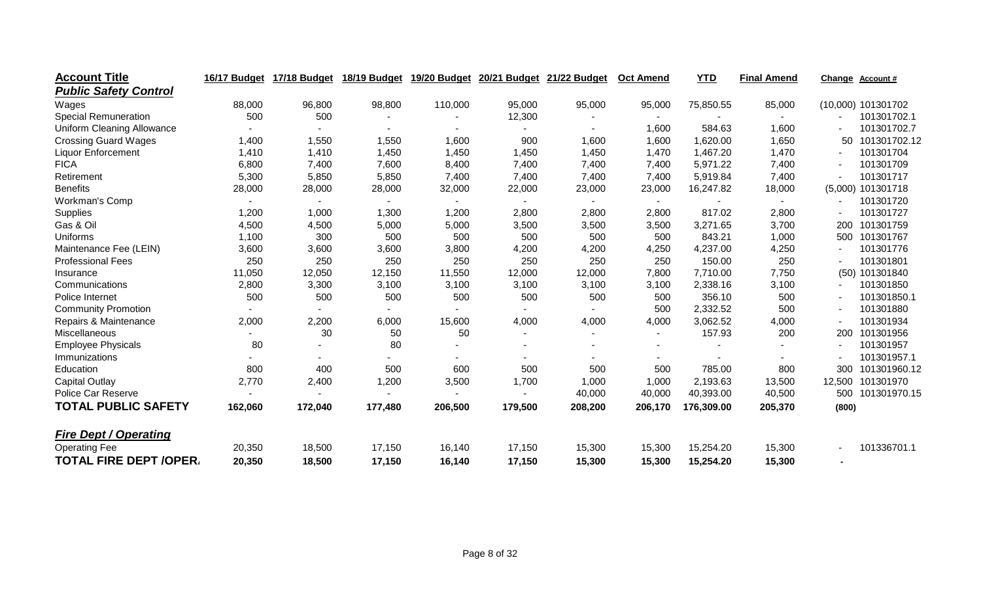| <b>Account Title</b>              | 16/17 Budget   | 17/18 Budget             | 18/19 Budget | 19/20 Budget   | 20/21 Budget   | 21/22 Budget | <b>Oct Amend</b> | <b>YTD</b> | <b>Final Amend</b> | Change | <b>Account #</b>   |
|-----------------------------------|----------------|--------------------------|--------------|----------------|----------------|--------------|------------------|------------|--------------------|--------|--------------------|
| <b>Public Safety Control</b>      |                |                          |              |                |                |              |                  |            |                    |        |                    |
| Wages                             | 88,000         | 96,800                   | 98,800       | 110,000        | 95,000         | 95,000       | 95,000           | 75,850.55  | 85,000             |        | (10,000) 101301702 |
| <b>Special Remuneration</b>       | 500            | 500                      |              |                | 12,300         |              | $\sim$           |            |                    |        | 101301702.1        |
| <b>Uniform Cleaning Allowance</b> |                |                          |              |                |                |              | 1,600            | 584.63     | 1,600              |        | 101301702.7        |
| <b>Crossing Guard Wages</b>       | 1,400          | 1,550                    | 1,550        | 1,600          | 900            | 1,600        | 1,600            | 1,620.00   | 1,650              | 50     | 101301702.12       |
| <b>Liquor Enforcement</b>         | 1,410          | 1,410                    | 1,450        | 1,450          | 1,450          | 1,450        | 1,470            | 1,467.20   | 1,470              |        | 101301704          |
| <b>FICA</b>                       | 6,800          | 7,400                    | 7,600        | 8,400          | 7,400          | 7,400        | 7,400            | 5,971.22   | 7,400              |        | 101301709          |
| Retirement                        | 5,300          | 5,850                    | 5,850        | 7,400          | 7,400          | 7,400        | 7,400            | 5,919.84   | 7,400              |        | 101301717          |
| <b>Benefits</b>                   | 28,000         | 28,000                   | 28,000       | 32,000         | 22,000         | 23,000       | 23,000           | 16,247.82  | 18,000             |        | (5,000) 101301718  |
| Workman's Comp                    | $\blacksquare$ | $\overline{\phantom{0}}$ |              | $\blacksquare$ | $\blacksquare$ |              | $\sim$           |            | $\blacksquare$     |        | 101301720          |
| Supplies                          | 1,200          | 1,000                    | 1,300        | 1,200          | 2,800          | 2,800        | 2,800            | 817.02     | 2,800              |        | 101301727          |
| Gas & Oil                         | 4,500          | 4,500                    | 5,000        | 5,000          | 3,500          | 3,500        | 3,500            | 3,271.65   | 3,700              |        | 200 101301759      |
| Uniforms                          | 1,100          | 300                      | 500          | 500            | 500            | 500          | 500              | 843.21     | 1,000              |        | 500 101301767      |
| Maintenance Fee (LEIN)            | 3,600          | 3,600                    | 3,600        | 3,800          | 4,200          | 4,200        | 4,250            | 4,237.00   | 4,250              |        | 101301776          |
| <b>Professional Fees</b>          | 250            | 250                      | 250          | 250            | 250            | 250          | 250              | 150.00     | 250                |        | 101301801          |
| Insurance                         | 11,050         | 12,050                   | 12,150       | 11,550         | 12,000         | 12,000       | 7,800            | 7,710.00   | 7,750              |        | (50) 101301840     |
| Communications                    | 2,800          | 3,300                    | 3,100        | 3,100          | 3,100          | 3,100        | 3,100            | 2,338.16   | 3,100              |        | 101301850          |
| Police Internet                   | 500            | 500                      | 500          | 500            | 500            | 500          | 500              | 356.10     | 500                |        | 101301850.1        |
| <b>Community Promotion</b>        |                |                          |              |                |                |              | 500              | 2,332.52   | 500                |        | 101301880          |
| Repairs & Maintenance             | 2,000          | 2,200                    | 6,000        | 15,600         | 4,000          | 4,000        | 4,000            | 3,062.52   | 4,000              |        | 101301934          |
| Miscellaneous                     |                | 30                       | 50           | 50             | $\blacksquare$ |              |                  | 157.93     | 200                | 200    | 101301956          |
| <b>Employee Physicals</b>         | 80             |                          | 80           |                | $\blacksquare$ |              |                  |            |                    |        | 101301957          |
| Immunizations                     |                |                          |              |                |                |              |                  |            |                    |        | 101301957.1        |
| Education                         | 800            | 400                      | 500          | 600            | 500            | 500          | 500              | 785.00     | 800                | 300    | 101301960.12       |
| <b>Capital Outlay</b>             | 2,770          | 2,400                    | 1,200        | 3,500          | 1,700          | 1,000        | 1,000            | 2,193.63   | 13,500             | 12,500 | 101301970          |
| <b>Police Car Reserve</b>         |                |                          |              |                |                | 40,000       | 40,000           | 40,393.00  | 40,500             |        | 500 101301970.15   |
| <b>TOTAL PUBLIC SAFETY</b>        | 162,060        | 172,040                  | 177,480      | 206,500        | 179,500        | 208,200      | 206,170          | 176,309.00 | 205,370            | (800)  |                    |
| <b>Fire Dept / Operating</b>      |                |                          |              |                |                |              |                  |            |                    |        |                    |
| <b>Operating Fee</b>              | 20,350         | 18,500                   | 17,150       | 16,140         | 17,150         | 15,300       | 15,300           | 15,254.20  | 15,300             |        | 101336701.1        |
| <b>TOTAL FIRE DEPT /OPER/</b>     | 20,350         | 18,500                   | 17,150       | 16,140         | 17,150         | 15,300       | 15,300           | 15,254.20  | 15,300             |        |                    |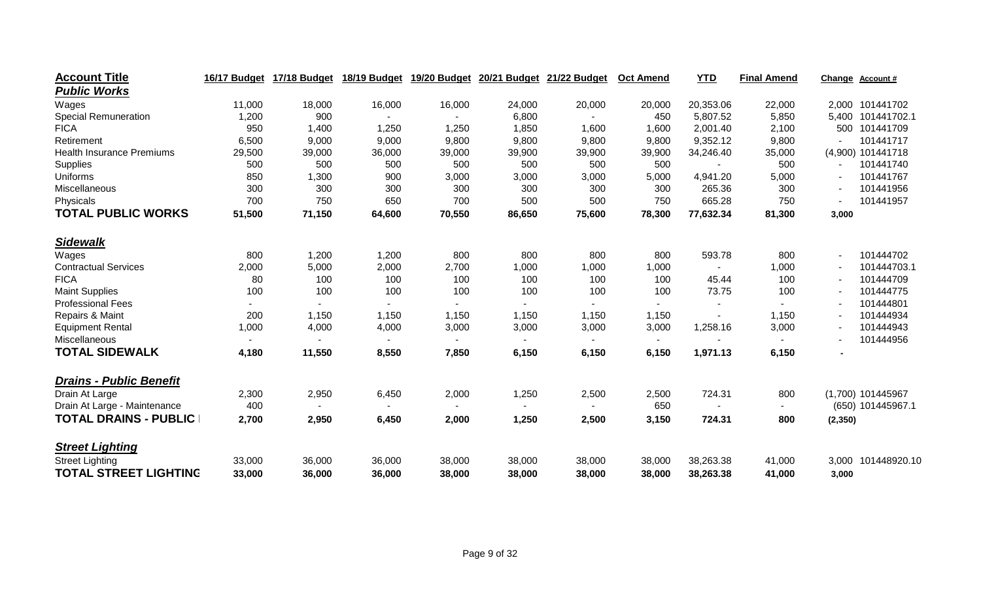| <b>Account Title</b>             | 16/17 Budget | 17/18 Budget   | 18/19 Budget | 19/20 Budget   | 20/21 Budget | 21/22 Budget | <b>Oct Amend</b>         | <b>YTD</b>     | <b>Final Amend</b> | Change  | Account#           |
|----------------------------------|--------------|----------------|--------------|----------------|--------------|--------------|--------------------------|----------------|--------------------|---------|--------------------|
| <b>Public Works</b>              |              |                |              |                |              |              |                          |                |                    |         |                    |
| Wages                            | 11,000       | 18,000         | 16,000       | 16,000         | 24,000       | 20,000       | 20,000                   | 20,353.06      | 22,000             |         | 2,000 101441702    |
| <b>Special Remuneration</b>      | 1,200        | 900            |              |                | 6,800        |              | 450                      | 5,807.52       | 5,850              |         | 5,400 101441702.1  |
| <b>FICA</b>                      | 950          | 1,400          | 1,250        | 1,250          | 1,850        | 1,600        | 1,600                    | 2,001.40       | 2,100              | 500     | 101441709          |
| Retirement                       | 6,500        | 9,000          | 9,000        | 9,800          | 9,800        | 9,800        | 9,800                    | 9,352.12       | 9,800              |         | 101441717          |
| <b>Health Insurance Premiums</b> | 29,500       | 39,000         | 36,000       | 39,000         | 39,900       | 39,900       | 39,900                   | 34,246.40      | 35,000             |         | (4,900) 101441718  |
| Supplies                         | 500          | 500            | 500          | 500            | 500          | 500          | 500                      |                | 500                |         | 101441740          |
| Uniforms                         | 850          | 1,300          | 900          | 3,000          | 3,000        | 3,000        | 5,000                    | 4,941.20       | 5,000              |         | 101441767          |
| Miscellaneous                    | 300          | 300            | 300          | 300            | 300          | 300          | 300                      | 265.36         | 300                |         | 101441956          |
| Physicals                        | 700          | 750            | 650          | 700            | 500          | 500          | 750                      | 665.28         | 750                |         | 101441957          |
| <b>TOTAL PUBLIC WORKS</b>        | 51,500       | 71,150         | 64,600       | 70,550         | 86,650       | 75,600       | 78,300                   | 77,632.34      | 81,300             | 3,000   |                    |
| <b>Sidewalk</b>                  |              |                |              |                |              |              |                          |                |                    |         |                    |
| Wages                            | 800          | 1,200          | 1,200        | 800            | 800          | 800          | 800                      | 593.78         | 800                |         | 101444702          |
| <b>Contractual Services</b>      | 2,000        | 5,000          | 2,000        | 2,700          | 1,000        | 1,000        | 1,000                    | $\blacksquare$ | 1,000              |         | 101444703.1        |
| <b>FICA</b>                      | 80           | 100            | 100          | 100            | 100          | 100          | 100                      | 45.44          | 100                |         | 101444709          |
| <b>Maint Supplies</b>            | 100          | 100            | 100          | 100            | 100          | 100          | 100                      | 73.75          | 100                |         | 101444775          |
| <b>Professional Fees</b>         | $\sim$       | $\blacksquare$ | $\sim$       | $\blacksquare$ |              |              | $\sim$                   | $\blacksquare$ |                    |         | 101444801          |
| Repairs & Maint                  | 200          | 1,150          | 1,150        | 1,150          | 1,150        | 1,150        | 1,150                    |                | 1,150              |         | 101444934          |
| <b>Equipment Rental</b>          | 1,000        | 4,000          | 4,000        | 3,000          | 3,000        | 3,000        | 3,000                    | 1,258.16       | 3,000              |         | 101444943          |
| Miscellaneous                    |              |                |              |                |              |              | $\overline{\phantom{a}}$ |                |                    |         | 101444956          |
| <b>TOTAL SIDEWALK</b>            | 4,180        | 11,550         | 8,550        | 7,850          | 6,150        | 6,150        | 6,150                    | 1,971.13       | 6,150              |         |                    |
| <b>Drains - Public Benefit</b>   |              |                |              |                |              |              |                          |                |                    |         |                    |
| Drain At Large                   | 2,300        | 2,950          | 6,450        | 2,000          | 1,250        | 2,500        | 2,500                    | 724.31         | 800                |         | (1,700) 101445967  |
| Drain At Large - Maintenance     | 400          |                |              |                |              |              | 650                      |                |                    |         | (650) 101445967.1  |
| <b>TOTAL DRAINS - PUBLIC</b>     | 2,700        | 2,950          | 6,450        | 2,000          | 1,250        | 2,500        | 3,150                    | 724.31         | 800                | (2,350) |                    |
| <b>Street Lighting</b>           |              |                |              |                |              |              |                          |                |                    |         |                    |
| <b>Street Lighting</b>           | 33,000       | 36,000         | 36,000       | 38,000         | 38,000       | 38,000       | 38,000                   | 38,263.38      | 41,000             |         | 3,000 101448920.10 |
| <b>TOTAL STREET LIGHTING</b>     | 33,000       | 36,000         | 36,000       | 38,000         | 38,000       | 38,000       | 38,000                   | 38,263.38      | 41,000             | 3,000   |                    |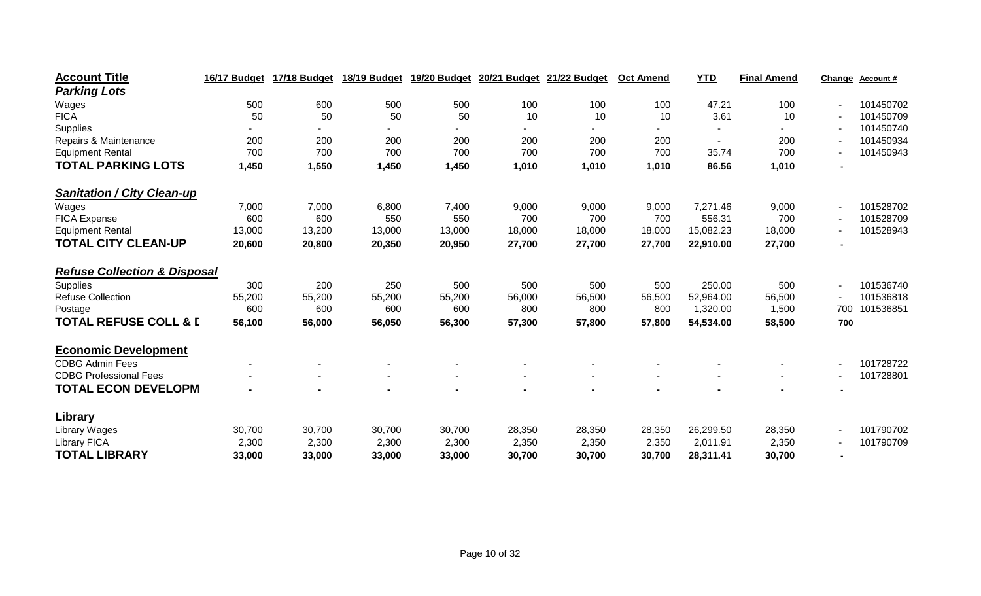| <b>Account Title</b>                    | 16/17 Budget | 17/18 Budget   | 18/19 Budget |                | 19/20 Budget 20/21 Budget | 21/22 Budget | <b>Oct Amend</b> | <b>YTD</b> | <b>Final Amend</b> | Change                   | <b>Account #</b> |
|-----------------------------------------|--------------|----------------|--------------|----------------|---------------------------|--------------|------------------|------------|--------------------|--------------------------|------------------|
| <b>Parking Lots</b>                     |              |                |              |                |                           |              |                  |            |                    |                          |                  |
| Wages                                   | 500          | 600            | 500          | 500            | 100                       | 100          | 100              | 47.21      | 100                | $\overline{\phantom{a}}$ | 101450702        |
| <b>FICA</b>                             | 50           | 50             | 50           | 50             | 10                        | 10           | 10               | 3.61       | 10                 |                          | 101450709        |
| Supplies                                |              |                |              |                |                           |              |                  |            |                    |                          | 101450740        |
| Repairs & Maintenance                   | 200          | 200            | 200          | 200            | 200                       | 200          | 200              |            | 200                |                          | 101450934        |
| <b>Equipment Rental</b>                 | 700          | 700            | 700          | 700            | 700                       | 700          | 700              | 35.74      | 700                |                          | 101450943        |
| <b>TOTAL PARKING LOTS</b>               | 1,450        | 1,550          | 1,450        | 1,450          | 1,010                     | 1,010        | 1,010            | 86.56      | 1,010              |                          |                  |
| <b>Sanitation / City Clean-up</b>       |              |                |              |                |                           |              |                  |            |                    |                          |                  |
| Wages                                   | 7,000        | 7,000          | 6,800        | 7,400          | 9,000                     | 9,000        | 9,000            | 7,271.46   | 9,000              | $\sim$                   | 101528702        |
| <b>FICA Expense</b>                     | 600          | 600            | 550          | 550            | 700                       | 700          | 700              | 556.31     | 700                |                          | 101528709        |
| <b>Equipment Rental</b>                 | 13,000       | 13,200         | 13,000       | 13,000         | 18,000                    | 18,000       | 18,000           | 15,082.23  | 18,000             |                          | 101528943        |
| <b>TOTAL CITY CLEAN-UP</b>              | 20,600       | 20,800         | 20,350       | 20,950         | 27,700                    | 27,700       | 27,700           | 22,910.00  | 27,700             |                          |                  |
| <b>Refuse Collection &amp; Disposal</b> |              |                |              |                |                           |              |                  |            |                    |                          |                  |
| Supplies                                | 300          | 200            | 250          | 500            | 500                       | 500          | 500              | 250.00     | 500                | $\sim$                   | 101536740        |
| <b>Refuse Collection</b>                | 55,200       | 55,200         | 55,200       | 55,200         | 56,000                    | 56,500       | 56,500           | 52,964.00  | 56,500             |                          | 101536818        |
| Postage                                 | 600          | 600            | 600          | 600            | 800                       | 800          | 800              | 1,320.00   | 1,500              | 700                      | 101536851        |
| <b>TOTAL REFUSE COLL &amp; D</b>        | 56,100       | 56,000         | 56,050       | 56,300         | 57,300                    | 57,800       | 57,800           | 54,534.00  | 58,500             | 700                      |                  |
| <b>Economic Development</b>             |              |                |              |                |                           |              |                  |            |                    |                          |                  |
| <b>CDBG Admin Fees</b>                  |              |                |              |                |                           |              |                  |            |                    | $\overline{\phantom{a}}$ | 101728722        |
| <b>CDBG Professional Fees</b>           |              | $\blacksquare$ |              | $\blacksquare$ | $\blacksquare$            |              |                  |            |                    | $\overline{\phantom{a}}$ | 101728801        |
| <b>TOTAL ECON DEVELOPM</b>              |              |                |              |                |                           |              |                  |            |                    |                          |                  |
| <b>Library</b>                          |              |                |              |                |                           |              |                  |            |                    |                          |                  |
| Library Wages                           | 30,700       | 30,700         | 30,700       | 30,700         | 28,350                    | 28,350       | 28,350           | 26,299.50  | 28,350             | $\sim$                   | 101790702        |
| <b>Library FICA</b>                     | 2,300        | 2,300          | 2,300        | 2,300          | 2,350                     | 2,350        | 2,350            | 2,011.91   | 2,350              |                          | 101790709        |
| <b>TOTAL LIBRARY</b>                    | 33,000       | 33,000         | 33,000       | 33,000         | 30,700                    | 30,700       | 30,700           | 28,311.41  | 30,700             |                          |                  |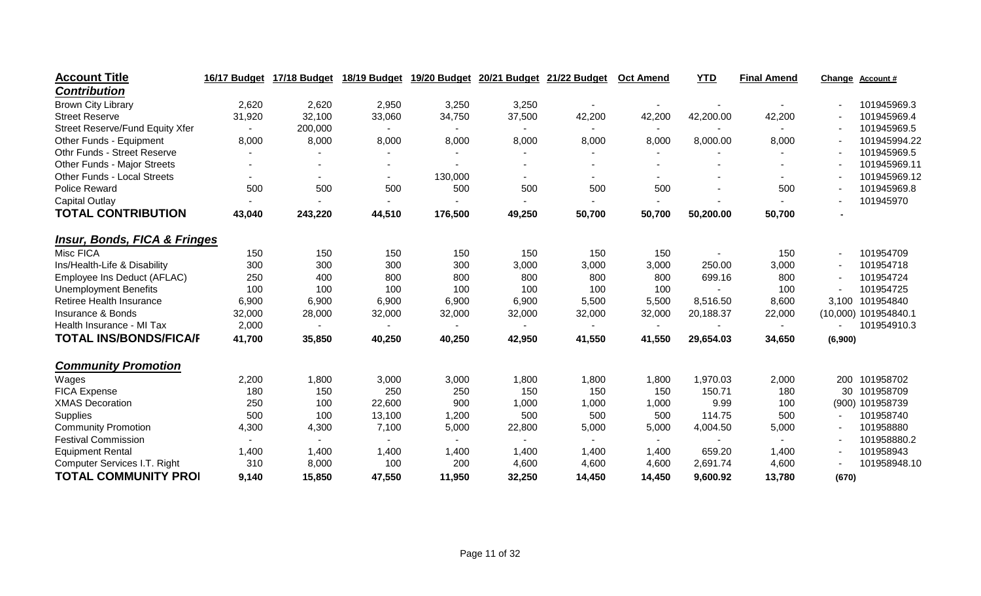| <b>Account Title</b>                    | 16/17 Budget | 17/18 Budget   | 18/19 Budget | 19/20 Budget | 20/21 Budget   | 21/22 Budget | <b>Oct Amend</b> | <b>YTD</b> | <b>Final Amend</b> | Change                   | <b>Account #</b>     |
|-----------------------------------------|--------------|----------------|--------------|--------------|----------------|--------------|------------------|------------|--------------------|--------------------------|----------------------|
| <b>Contribution</b>                     |              |                |              |              |                |              |                  |            |                    |                          |                      |
| <b>Brown City Library</b>               | 2,620        | 2,620          | 2,950        | 3,250        | 3,250          |              |                  |            |                    |                          | 101945969.3          |
| <b>Street Reserve</b>                   | 31,920       | 32,100         | 33,060       | 34,750       | 37,500         | 42,200       | 42,200           | 42,200.00  | 42,200             |                          | 101945969.4          |
| Street Reserve/Fund Equity Xfer         |              | 200,000        |              |              |                |              | $\sim$           |            |                    |                          | 101945969.5          |
| Other Funds - Equipment                 | 8,000        | 8,000          | 8,000        | 8,000        | 8,000          | 8,000        | 8,000            | 8,000.00   | 8,000              | $\overline{\phantom{a}}$ | 101945994.22         |
| Othr Funds - Street Reserve             |              |                |              |              | $\blacksquare$ |              |                  |            |                    |                          | 101945969.5          |
| <b>Other Funds - Major Streets</b>      |              |                |              |              |                |              |                  |            |                    |                          | 101945969.11         |
| <b>Other Funds - Local Streets</b>      |              | $\blacksquare$ |              | 130,000      |                |              |                  |            |                    |                          | 101945969.12         |
| <b>Police Reward</b>                    | 500          | 500            | 500          | 500          | 500            | 500          | 500              |            | 500                |                          | 101945969.8          |
| <b>Capital Outlay</b>                   |              |                |              |              |                |              |                  |            |                    |                          | 101945970            |
| <b>TOTAL CONTRIBUTION</b>               | 43,040       | 243,220        | 44,510       | 176,500      | 49,250         | 50,700       | 50,700           | 50,200.00  | 50,700             |                          |                      |
| <b>Insur, Bonds, FICA &amp; Fringes</b> |              |                |              |              |                |              |                  |            |                    |                          |                      |
| Misc FICA                               | 150          | 150            | 150          | 150          | 150            | 150          | 150              |            | 150                | $\overline{\phantom{a}}$ | 101954709            |
| Ins/Health-Life & Disability            | 300          | 300            | 300          | 300          | 3,000          | 3,000        | 3,000            | 250.00     | 3,000              |                          | 101954718            |
| Employee Ins Deduct (AFLAC)             | 250          | 400            | 800          | 800          | 800            | 800          | 800              | 699.16     | 800                |                          | 101954724            |
| <b>Unemployment Benefits</b>            | 100          | 100            | 100          | 100          | 100            | 100          | 100              |            | 100                |                          | 101954725            |
| Retiree Health Insurance                | 6,900        | 6,900          | 6,900        | 6,900        | 6,900          | 5,500        | 5,500            | 8,516.50   | 8,600              | 3,100                    | 101954840            |
| Insurance & Bonds                       | 32,000       | 28,000         | 32,000       | 32,000       | 32,000         | 32,000       | 32,000           | 20,188.37  | 22,000             |                          | (10,000) 101954840.1 |
| Health Insurance - MI Tax               | 2,000        |                |              |              |                |              | ٠                |            |                    |                          | 101954910.3          |
| <b>TOTAL INS/BONDS/FICA/F</b>           | 41,700       | 35,850         | 40,250       | 40,250       | 42,950         | 41,550       | 41,550           | 29,654.03  | 34,650             | (6,900)                  |                      |
| <b>Community Promotion</b>              |              |                |              |              |                |              |                  |            |                    |                          |                      |
| Wages                                   | 2,200        | 1,800          | 3,000        | 3,000        | 1,800          | 1,800        | 1,800            | 1,970.03   | 2,000              | 200                      | 101958702            |
| <b>FICA Expense</b>                     | 180          | 150            | 250          | 250          | 150            | 150          | 150              | 150.71     | 180                | 30                       | 101958709            |
| <b>XMAS Decoration</b>                  | 250          | 100            | 22,600       | 900          | 1,000          | 1,000        | 1,000            | 9.99       | 100                |                          | (900) 101958739      |
| Supplies                                | 500          | 100            | 13,100       | 1,200        | 500            | 500          | 500              | 114.75     | 500                |                          | 101958740            |
| <b>Community Promotion</b>              | 4,300        | 4,300          | 7,100        | 5,000        | 22,800         | 5,000        | 5,000            | 4,004.50   | 5,000              |                          | 101958880            |
| <b>Festival Commission</b>              |              |                |              |              |                |              |                  |            |                    |                          | 101958880.2          |
| <b>Equipment Rental</b>                 | 1,400        | 1,400          | 1,400        | 1,400        | 1,400          | 1,400        | 1,400            | 659.20     | 1,400              |                          | 101958943            |
| Computer Services I.T. Right            | 310          | 8,000          | 100          | 200          | 4,600          | 4,600        | 4,600            | 2,691.74   | 4,600              |                          | 101958948.10         |
| <b>TOTAL COMMUNITY PROI</b>             | 9,140        | 15,850         | 47,550       | 11,950       | 32,250         | 14,450       | 14,450           | 9,600.92   | 13,780             | (670)                    |                      |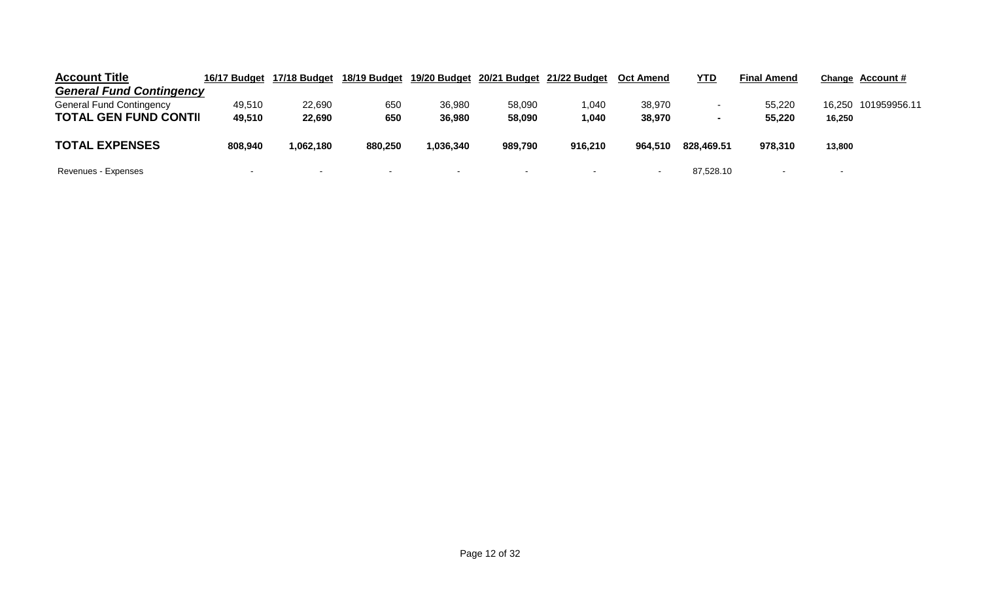| <b>Account Title</b>            | 16/17 Budget | 17/18 Budget | 18/19 Budget | 19/20 Budget |         | 20/21 Budget 21/22 Budget | <b>Oct Amend</b> | <u>YTD</u>               | <b>Final Amend</b> | Change Account #         |  |
|---------------------------------|--------------|--------------|--------------|--------------|---------|---------------------------|------------------|--------------------------|--------------------|--------------------------|--|
| <b>General Fund Contingency</b> |              |              |              |              |         |                           |                  |                          |                    |                          |  |
| <b>General Fund Contingency</b> | 49,510       | 22,690       | 650          | 36,980       | 58,090  | 1,040                     | 38,970           | $\sim$                   | 55,220             | 16,250 101959956.11      |  |
| <b>TOTAL GEN FUND CONTII</b>    | 49,510       | 22,690       | 650          | 36,980       | 58,090  | 1,040                     | 38,970           | $\overline{\phantom{a}}$ | 55,220             | 16,250                   |  |
| <b>TOTAL EXPENSES</b>           | 808,940      | .062,180     | 880,250      | 1,036,340    | 989,790 | 916,210                   | 964,510          | 828.469.51               | 978,310            | 13,800                   |  |
| Revenues - Expenses             |              | $\sim$       | $\sim$       |              | $\sim$  | $\overline{\phantom{a}}$  |                  | 87,528.10                |                    | $\overline{\phantom{a}}$ |  |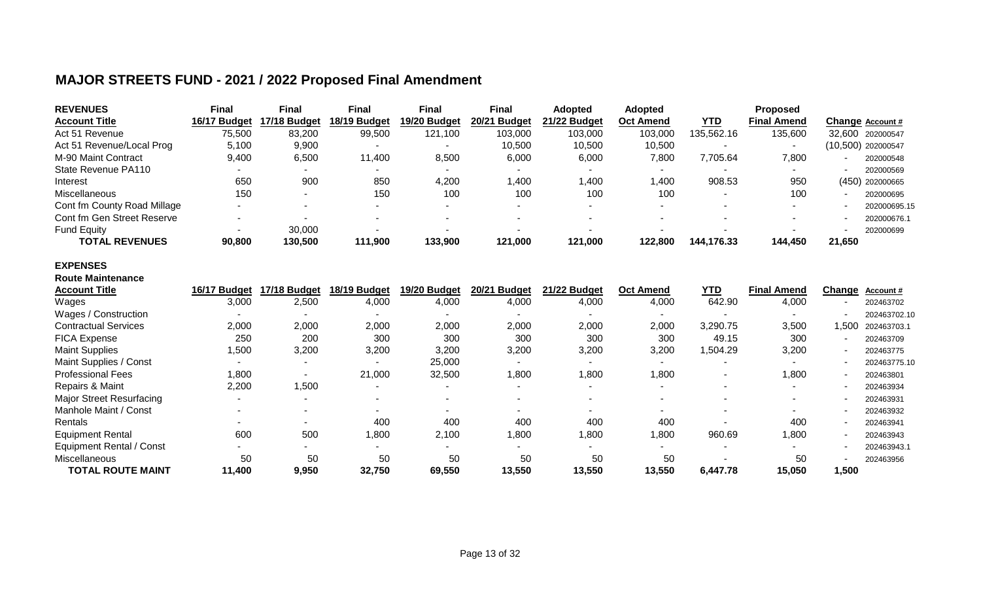## **MAJOR STREETS FUND - 2021 / 2022 Proposed Final Amendment**

| <b>REVENUES</b>             | Final        | Final        | Final                    | <b>Final</b> | <b>Final</b>       | Adopted      | <b>Adopted</b>   |            | <b>Proposed</b>    |        |                    |
|-----------------------------|--------------|--------------|--------------------------|--------------|--------------------|--------------|------------------|------------|--------------------|--------|--------------------|
| <b>Account Title</b>        | 16/17 Budget | 17/18 Budget | 18/19 Budget             | 19/20 Budget | 20/21 Budget       | 21/22 Budget | <b>Oct Amend</b> | <b>YTD</b> | <b>Final Amend</b> |        | Change Account #   |
| Act 51 Revenue              | 75,500       | 83,200       | 99,500                   | 121,100      | 103,000            | 103,000      | 103,000          | 135,562.16 | 135,600            |        | 32.600 202000547   |
| Act 51 Revenue/Local Prog   | 5,100        | 9,900        | $\overline{\phantom{a}}$ |              | 10,500             | 10,500       | 10,500           |            |                    |        | (10,500) 202000547 |
| M-90 Maint Contract         | 9,400        | 6,500        | 11,400                   | 8,500        | 6,000              | 6,000        | 7,800            | 7,705.64   | 7,800              |        | 202000548          |
| State Revenue PA110         |              |              |                          |              |                    |              |                  |            | $\sim$             |        | 202000569          |
| Interest                    | 650          | 900          | 850                      | 4,200        | $\overline{0.400}$ | 1.400        | .40C             | 908.53     | 950                |        | (450) 202000665    |
| Miscellaneous               | 150          |              | 150                      | 100          | 100                | 100          | 100              |            | 100                |        | 202000695          |
| Cont fm County Road Millage |              |              |                          | -            |                    |              |                  |            |                    |        | 202000695.15       |
| Cont fm Gen Street Reserve  |              |              |                          |              |                    |              |                  |            |                    |        | 202000676.1        |
| <b>Fund Equity</b>          |              | 30,000       |                          |              |                    |              |                  |            |                    |        | 202000699          |
| <b>TOTAL REVENUES</b>       | 90,800       | 130,500      | 111,900                  | 133,900      | 121,000            | 121,000      | 122.800          | 144.176.33 | 144,450            | 21.650 |                    |

#### **EXPENSES Route Maintenance**

| <b>Account Title</b>            | 16/17 Budget | 17/18 Budget | 18/19 Budget             | 19/20 Budget | 20/21 Budget | 21/22 Budget | <b>Oct Amend</b> | YTD      | <b>Final Amend</b>       | Change | Account #    |
|---------------------------------|--------------|--------------|--------------------------|--------------|--------------|--------------|------------------|----------|--------------------------|--------|--------------|
| Wages                           | 3,000        | 2,500        | 4,000                    | 4,000        | 4,000        | 4,000        | 4,000            | 642.90   | 4,000                    |        | 202463702    |
| Wages / Construction            |              |              |                          |              |              |              |                  |          |                          |        | 202463702.10 |
| <b>Contractual Services</b>     | 2,000        | 2,000        | 2,000                    | 2,000        | 2,000        | 2,000        | 2,000            | 3,290.75 | 3,500                    | ,500   | 202463703.1  |
| <b>FICA Expense</b>             | 250          | 200          | 300                      | 300          | 300          | 300          | 300              | 49.15    | 300                      |        | 202463709    |
| <b>Maint Supplies</b>           | ,500         | 3,200        | 3,200                    | 3,200        | 3,200        | 3,200        | 3,200            | 1,504.29 | 3,200                    |        | 202463775    |
| Maint Supplies / Const          |              |              | $\overline{\phantom{0}}$ | 25,000       |              |              |                  |          |                          |        | 202463775.10 |
| <b>Professional Fees</b>        | ,800         |              | 21,000                   | 32,500       | <b>800,</b>  | 1,800        | 0.800            |          | 1,800                    |        | 202463801    |
| Repairs & Maint                 | 2,200        | 1,500        |                          |              | -            |              |                  |          | $\overline{\phantom{a}}$ |        | 202463934    |
| <b>Major Street Resurfacing</b> |              |              |                          |              |              |              |                  |          |                          |        | 202463931    |
| Manhole Maint / Const           |              |              |                          |              |              |              |                  |          |                          |        | 202463932    |
| Rentals                         |              |              | 400                      | 400          | 400          | 400          | 400              |          | 400                      |        | 202463941    |
| <b>Equipment Rental</b>         | 600          | 500          | ,800                     | 2,100        | ,800         | 1,800        | 0.800            | 960.69   | 1,800                    |        | 202463943    |
| <b>Equipment Rental / Const</b> |              |              |                          |              |              |              |                  |          |                          |        | 202463943.1  |
| Miscellaneous                   | 50           | 50           | 50                       | 50           | 50           | 50           | 50               |          | 50                       |        | 202463956    |
| <b>TOTAL ROUTE MAINT</b>        | 11,400       | 9,950        | 32,750                   | 69,550       | 13,550       | 13,550       | 13,550           | 6,447.78 | 15,050                   | ,500   |              |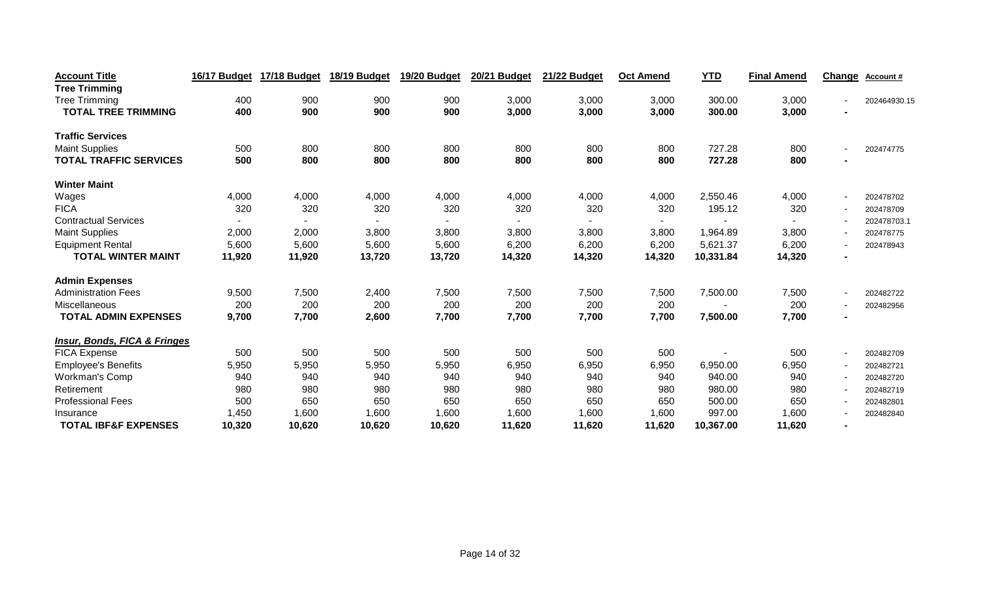| <b>Account Title</b>                    | 16/17 Budget | 17/18 Budget | 18/19 Budget | 19/20 Budget | 20/21 Budget | 21/22 Budget | <b>Oct Amend</b> | <b>YTD</b> | <b>Final Amend</b> | <b>Change</b> | Account#     |
|-----------------------------------------|--------------|--------------|--------------|--------------|--------------|--------------|------------------|------------|--------------------|---------------|--------------|
| <b>Tree Trimming</b>                    |              |              |              |              |              |              |                  |            |                    |               |              |
| <b>Tree Trimming</b>                    | 400          | 900          | 900          | 900          | 3,000        | 3,000        | 3,000            | 300.00     | 3,000              |               | 202464930.15 |
| <b>TOTAL TREE TRIMMING</b>              | 400          | 900          | 900          | 900          | 3,000        | 3,000        | 3,000            | 300.00     | 3,000              |               |              |
| <b>Traffic Services</b>                 |              |              |              |              |              |              |                  |            |                    |               |              |
| <b>Maint Supplies</b>                   | 500          | 800          | 800          | 800          | 800          | 800          | 800              | 727.28     | 800                |               | 202474775    |
| <b>TOTAL TRAFFIC SERVICES</b>           | 500          | 800          | 800          | 800          | 800          | 800          | 800              | 727.28     | 800                |               |              |
| <b>Winter Maint</b>                     |              |              |              |              |              |              |                  |            |                    |               |              |
| Wages                                   | 4,000        | 4,000        | 4,000        | 4,000        | 4,000        | 4,000        | 4,000            | 2,550.46   | 4,000              |               | 202478702    |
| <b>FICA</b>                             | 320          | 320          | 320          | 320          | 320          | 320          | 320              | 195.12     | 320                |               | 202478709    |
| <b>Contractual Services</b>             |              |              |              |              |              |              |                  |            |                    |               | 202478703.1  |
| <b>Maint Supplies</b>                   | 2,000        | 2,000        | 3,800        | 3,800        | 3,800        | 3,800        | 3,800            | 1,964.89   | 3,800              |               | 202478775    |
| <b>Equipment Rental</b>                 | 5,600        | 5,600        | 5,600        | 5,600        | 6,200        | 6,200        | 6,200            | 5,621.37   | 6,200              |               | 202478943    |
| <b>TOTAL WINTER MAINT</b>               | 11,920       | 11,920       | 13,720       | 13,720       | 14,320       | 14,320       | 14,320           | 10,331.84  | 14,320             |               |              |
| <b>Admin Expenses</b>                   |              |              |              |              |              |              |                  |            |                    |               |              |
| <b>Administration Fees</b>              | 9,500        | 7,500        | 2,400        | 7,500        | 7,500        | 7,500        | 7,500            | 7,500.00   | 7,500              |               | 202482722    |
| Miscellaneous                           | 200          | 200          | 200          | 200          | 200          | 200          | 200              |            | 200                |               | 202482956    |
| <b>TOTAL ADMIN EXPENSES</b>             | 9,700        | 7,700        | 2,600        | 7,700        | 7,700        | 7,700        | 7,700            | 7,500.00   | 7,700              |               |              |
| <b>Insur, Bonds, FICA &amp; Fringes</b> |              |              |              |              |              |              |                  |            |                    |               |              |
| <b>FICA Expense</b>                     | 500          | 500          | 500          | 500          | 500          | 500          | 500              |            | 500                |               | 202482709    |
| <b>Employee's Benefits</b>              | 5,950        | 5,950        | 5,950        | 5,950        | 6,950        | 6,950        | 6,950            | 6,950.00   | 6,950              |               | 202482721    |
| Workman's Comp                          | 940          | 940          | 940          | 940          | 940          | 940          | 940              | 940.00     | 940                |               | 202482720    |
| Retirement                              | 980          | 980          | 980          | 980          | 980          | 980          | 980              | 980.00     | 980                |               | 202482719    |
| <b>Professional Fees</b>                | 500          | 650          | 650          | 650          | 650          | 650          | 650              | 500.00     | 650                |               | 202482801    |
| Insurance                               | 1,450        | 1,600        | 1,600        | 1,600        | 1,600        | 1,600        | 1,600            | 997.00     | 1,600              |               | 202482840    |
| <b>TOTAL IBF&amp;F EXPENSES</b>         | 10,320       | 10,620       | 10,620       | 10,620       | 11,620       | 11,620       | 11,620           | 10,367.00  | 11,620             |               |              |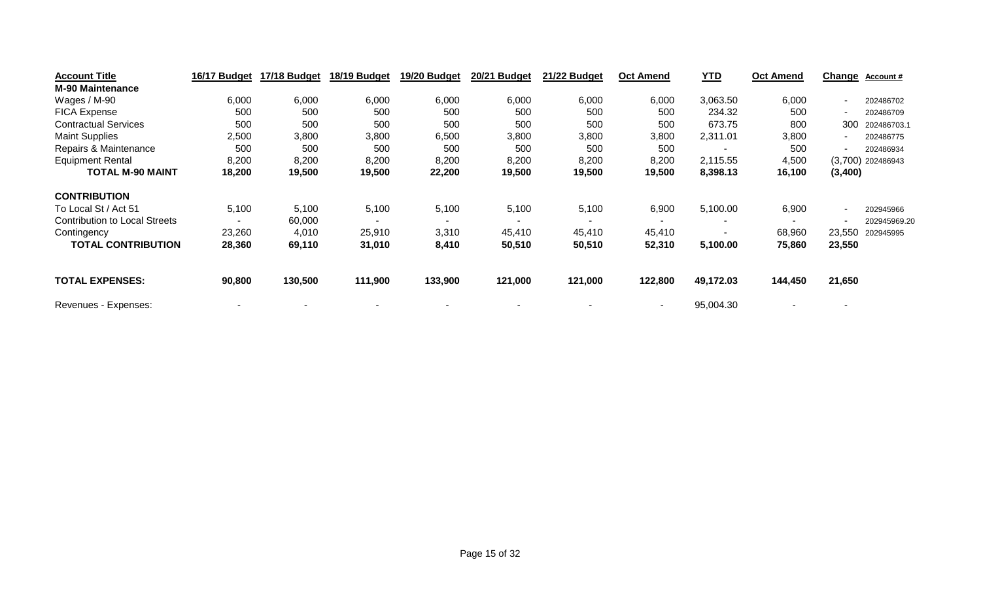| <b>Account Title</b>                 | 16/17 Budget | 17/18 Budget | 18/19 Budget             | 19/20 Budget | 20/21 Budget | 21/22 Budget | <b>Oct Amend</b> | <u>YTD</u> | <b>Oct Amend</b> | <u>Change</u> | <b>Account #</b>    |
|--------------------------------------|--------------|--------------|--------------------------|--------------|--------------|--------------|------------------|------------|------------------|---------------|---------------------|
| <b>M-90 Maintenance</b>              |              |              |                          |              |              |              |                  |            |                  |               |                     |
| Wages / M-90                         | 6,000        | 6,000        | 6,000                    | 6,000        | 6,000        | 6,000        | 6,000            | 3,063.50   | 6,000            | $\sim$        | 202486702           |
| <b>FICA Expense</b>                  | 500          | 500          | 500                      | 500          | 500          | 500          | 500              | 234.32     | 500              |               | 202486709           |
| <b>Contractual Services</b>          | 500          | 500          | 500                      | 500          | 500          | 500          | 500              | 673.75     | 800              | 300           | 202486703.1         |
| <b>Maint Supplies</b>                | 2,500        | 3,800        | 3,800                    | 6,500        | 3,800        | 3,800        | 3,800            | 2,311.01   | 3,800            |               | 202486775           |
| Repairs & Maintenance                | 500          | 500          | 500                      | 500          | 500          | 500          | 500              |            | 500              |               | 202486934           |
| <b>Equipment Rental</b>              | 8,200        | 8,200        | 8,200                    | 8,200        | 8,200        | 8,200        | 8,200            | 2,115.55   | 4,500            |               | $(3,700)$ 202486943 |
| <b>TOTAL M-90 MAINT</b>              | 18,200       | 19,500       | 19,500                   | 22,200       | 19,500       | 19,500       | 19,500           | 8,398.13   | 16,100           | (3,400)       |                     |
| <b>CONTRIBUTION</b>                  |              |              |                          |              |              |              |                  |            |                  |               |                     |
| To Local St / Act 51                 | 5,100        | 5,100        | 5,100                    | 5,100        | 5,100        | 5,100        | 6,900            | 5,100.00   | 6,900            | $\sim$        | 202945966           |
| <b>Contribution to Local Streets</b> |              | 60,000       | $\overline{\phantom{0}}$ |              |              |              |                  |            |                  |               | 202945969.20        |
| Contingency                          | 23,260       | 4,010        | 25,910                   | 3,310        | 45,410       | 45,410       | 45,410           |            | 68,960           | 23,550        | 202945995           |
| <b>TOTAL CONTRIBUTION</b>            | 28,360       | 69,110       | 31,010                   | 8,410        | 50,510       | 50,510       | 52,310           | 5,100.00   | 75,860           | 23,550        |                     |
| <b>TOTAL EXPENSES:</b>               | 90,800       | 130,500      | 111,900                  | 133,900      | 121,000      | 121,000      | 122,800          | 49,172.03  | 144,450          | 21,650        |                     |
| Revenues - Expenses:                 |              |              |                          |              |              |              |                  | 95,004.30  |                  |               |                     |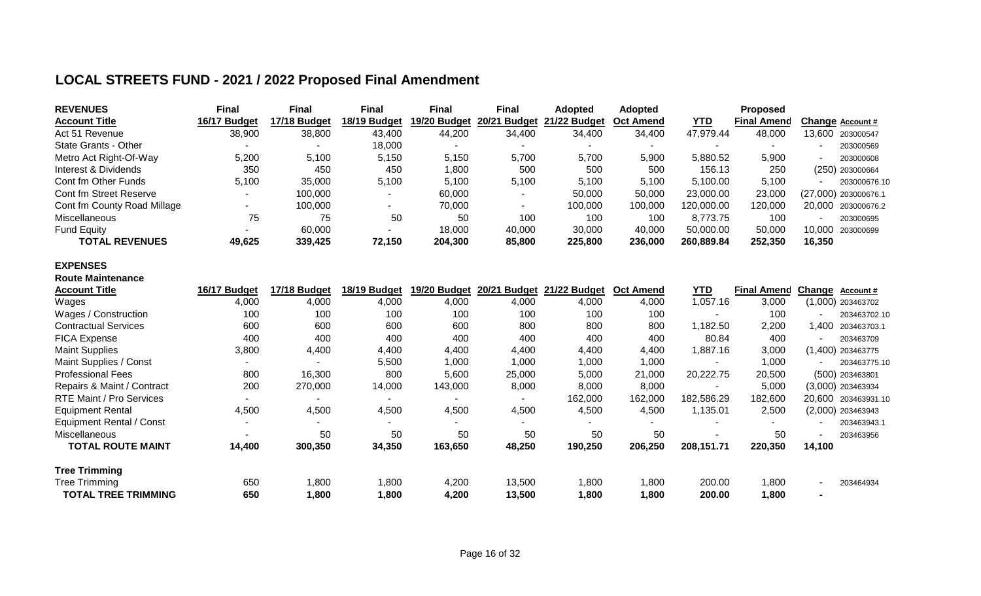## **LOCAL STREETS FUND - 2021 / 2022 Proposed Final Amendment**

| <b>REVENUES</b>             | <b>Final</b> | Final        | Final        | Final        | Final        | <b>Adopted</b> | Adopted          |            | <b>Proposed</b>    |                        |
|-----------------------------|--------------|--------------|--------------|--------------|--------------|----------------|------------------|------------|--------------------|------------------------|
| <b>Account Title</b>        | 16/17 Budget | 17/18 Budaet | 18/19 Budget | 19/20 Budget | 20/21 Budget | 21/22 Budget   | <b>Oct Amend</b> | YTD        | <b>Final Amend</b> | Change Account #       |
| Act 51 Revenue              | 38,900       | 38,800       | 43,400       | 44,200       | 34,400       | 34,400         | 34,400           | 47,979.44  | 48,000             | 13.600<br>203000547    |
| State Grants - Other        |              |              | 18,000       |              |              |                |                  |            | . .                | 203000569              |
| Metro Act Right-Of-Way      | 5,200        | 5,100        | 5,150        | 5,150        | 5,700        | 5,700          | 5,900            | 5,880.52   | 5,900              | 203000608              |
| Interest & Dividends        | 350          | 450          | 450          | 1,800        | 500          | 500            | 500              | 156.13     | 250                | $(250)$ 203000664      |
| Cont fm Other Funds         | 5.100        | 35,000       | 5,100        | 5.100        | 5,100        | 5,100          | 5,100            | 5,100.00   | 5,100              | 203000676.10           |
| Cont fm Street Reserve      |              | 100,000      |              | 60.000       |              | 50,000         | 50,000           | 23,000.00  | 23,000             | $(27,000)$ 203000676.1 |
| Cont fm County Road Millage |              | 100,000      |              | 70.000       |              | 100,000        | 100,000          | 120.000.00 | 120.000            | 20.000 203000676.2     |
| Miscellaneous               | 75           | 75           | 50           | 50           | 100          | 100            | 100              | 8.773.75   | 100                | 203000695              |
| <b>Fund Equity</b>          |              | 60,000       |              | 18,000       | 40,000       | 30,000         | 40,000           | 50.000.00  | 50,000             | 10.000 203000699       |
| <b>TOTAL REVENUES</b>       | 49,625       | 339,425      | 72,150       | 204,300      | 85,800       | 225,800        | 236,000          | 260.889.84 | 252,350            | 16.350                 |

### **EXPENSES**

| <b>Route Maintenance</b>        |              |              |              |                |                        |              |                  |            |                    |                |                     |
|---------------------------------|--------------|--------------|--------------|----------------|------------------------|--------------|------------------|------------|--------------------|----------------|---------------------|
| <b>Account Title</b>            | 16/17 Budget | 17/18 Budget | 18/19 Budget | 19/20 Budget   | 20/21<br><b>Budget</b> | 21/22 Budget | <b>Oct Amend</b> | <b>YTD</b> | <b>Final Amend</b> | <b>Change</b>  | Account#            |
| Wages                           | 4,000        | 4,000        | 4,000        | 4,000          | 4,000                  | 4,000        | 4,000            | 1,057.16   | 3,000              |                | $(1,000)$ 203463702 |
| Wages / Construction            | 100          | 100          | 100          | 100            | 100                    | 100          | 100              |            | 100                |                | 203463702.10        |
| <b>Contractual Services</b>     | 600          | 600          | 600          | 600            | 800                    | 800          | 800              | 182.50     | 2,200              | 400, ا         | 203463703.1         |
| <b>FICA Expense</b>             | 400          | 400          | 400          | 400            | 400                    | 400          | 400              | 80.84      | 400                |                | 203463709           |
| <b>Maint Supplies</b>           | 3,800        | 4,400        | 4,400        | 4,400          | 4,400                  | 4,400        | 4,400            | 887.16.    | 3,000              |                | $(1,400)$ 203463775 |
| Maint Supplies / Const          |              |              | 5,500        | 1,000          | 1,000                  | 1,000        | 1,000            |            | 1,000              | $\sim$         | 203463775.10        |
| <b>Professional Fees</b>        | 800          | 16,300       | 800          | 5,600          | 25,000                 | 5,000        | 21,000           | 20,222.75  | 20,500             |                | (500) 203463801     |
| Repairs & Maint / Contract      | 200          | 270,000      | 14,000       | 143,000        | 8,000                  | 8,000        | 8,000            |            | 5,000              |                | $(3,000)$ 203463934 |
| <b>RTE Maint / Pro Services</b> |              |              | ٠            |                |                        | 162,000      | 162,000          | 182,586.29 | 182,600            | 20,600         | 203463931.10        |
| <b>Equipment Rental</b>         | 4,500        | 4,500        | 4,500        | 4,500          | 4,500                  | 4,500        | 4,500            | 1,135.01   | 2,500              |                | $(2,000)$ 203463943 |
| <b>Equipment Rental / Const</b> |              |              |              | $\blacksquare$ | -                      |              |                  |            |                    |                | 203463943.1         |
| <b>Miscellaneous</b>            |              | 50           | 50           | 50             | 50                     | 50           | 50               |            | 50                 | $\sim$         | 203463956           |
| TOTAL ROUTE MAINT               | 14,400       | 300,350      | 34,350       | 163,650        | 48,250                 | 190,250      | 206,250          | 208,151.71 | 220,350            | 14,100         |                     |
| <b>Tree Trimming</b>            |              |              |              |                |                        |              |                  |            |                    |                |                     |
| Tree Trimming                   | 650          | 1,800        | 1,800        | 4,200          | 13,500                 | 1,800        | 1,800            | 200.00     | 1,800              | $\sim$         | 203464934           |
| <b>TOTAL TREE TRIMMING</b>      | 650          | 1,800        | 1,800        | 4,200          | 13,500                 | 1,800        | 1,800            | 200.00     | 1,800              | $\blacksquare$ |                     |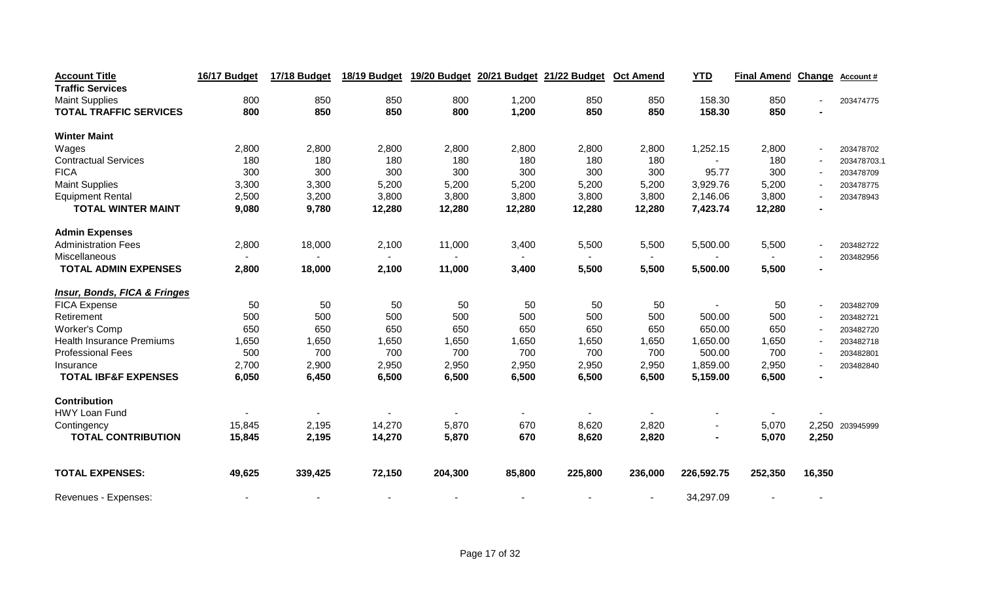| <b>Account Title</b>                    | 16/17 Budget | 17/18 Budget | 18/19 Budget | 19/20 Budget |        | 20/21 Budget 21/22 Budget | <b>Oct Amend</b> | <b>YTD</b>     | <b>Final Amend</b> | <b>Change</b> | <b>Account#</b> |
|-----------------------------------------|--------------|--------------|--------------|--------------|--------|---------------------------|------------------|----------------|--------------------|---------------|-----------------|
| <b>Traffic Services</b>                 |              |              |              |              |        |                           |                  |                |                    |               |                 |
| <b>Maint Supplies</b>                   | 800          | 850          | 850          | 800          | 1,200  | 850                       | 850              | 158.30         | 850                |               | 203474775       |
| <b>TOTAL TRAFFIC SERVICES</b>           | 800          | 850          | 850          | 800          | 1,200  | 850                       | 850              | 158.30         | 850                |               |                 |
| <b>Winter Maint</b>                     |              |              |              |              |        |                           |                  |                |                    |               |                 |
| Wages                                   | 2,800        | 2,800        | 2,800        | 2,800        | 2,800  | 2,800                     | 2,800            | 1,252.15       | 2,800              |               | 203478702       |
| <b>Contractual Services</b>             | 180          | 180          | 180          | 180          | 180    | 180                       | 180              |                | 180                |               | 203478703.1     |
| <b>FICA</b>                             | 300          | 300          | 300          | 300          | 300    | 300                       | 300              | 95.77          | 300                |               | 203478709       |
| <b>Maint Supplies</b>                   | 3,300        | 3,300        | 5,200        | 5,200        | 5,200  | 5,200                     | 5,200            | 3,929.76       | 5,200              |               | 203478775       |
| <b>Equipment Rental</b>                 | 2,500        | 3,200        | 3,800        | 3,800        | 3,800  | 3,800                     | 3,800            | 2,146.06       | 3,800              |               | 203478943       |
| <b>TOTAL WINTER MAINT</b>               | 9,080        | 9,780        | 12,280       | 12,280       | 12,280 | 12,280                    | 12,280           | 7,423.74       | 12,280             |               |                 |
| <b>Admin Expenses</b>                   |              |              |              |              |        |                           |                  |                |                    |               |                 |
| <b>Administration Fees</b>              | 2,800        | 18,000       | 2,100        | 11,000       | 3,400  | 5,500                     | 5,500            | 5,500.00       | 5,500              |               | 203482722       |
| Miscellaneous                           |              |              |              |              |        |                           |                  |                |                    |               | 203482956       |
| <b>TOTAL ADMIN EXPENSES</b>             | 2,800        | 18,000       | 2,100        | 11,000       | 3,400  | 5,500                     | 5,500            | 5,500.00       | 5,500              |               |                 |
| <b>Insur, Bonds, FICA &amp; Fringes</b> |              |              |              |              |        |                           |                  |                |                    |               |                 |
| <b>FICA Expense</b>                     | 50           | 50           | 50           | 50           | 50     | 50                        | 50               |                | 50                 |               | 203482709       |
| Retirement                              | 500          | 500          | 500          | 500          | 500    | 500                       | 500              | 500.00         | 500                |               | 203482721       |
| <b>Worker's Comp</b>                    | 650          | 650          | 650          | 650          | 650    | 650                       | 650              | 650.00         | 650                |               | 203482720       |
| <b>Health Insurance Premiums</b>        | 1,650        | 1,650        | 1,650        | 1,650        | 1,650  | 1,650                     | 1,650            | 1,650.00       | 1,650              |               | 203482718       |
| <b>Professional Fees</b>                | 500          | 700          | 700          | 700          | 700    | 700                       | 700              | 500.00         | 700                |               | 203482801       |
| Insurance                               | 2,700        | 2,900        | 2,950        | 2,950        | 2,950  | 2,950                     | 2,950            | 1,859.00       | 2,950              |               | 203482840       |
| <b>TOTAL IBF&amp;F EXPENSES</b>         | 6,050        | 6,450        | 6,500        | 6,500        | 6,500  | 6,500                     | 6,500            | 5,159.00       | 6,500              |               |                 |
| <b>Contribution</b>                     |              |              |              |              |        |                           |                  |                |                    |               |                 |
| <b>HWY Loan Fund</b>                    |              |              |              |              |        |                           |                  |                |                    |               |                 |
| Contingency                             | 15,845       | 2,195        | 14,270       | 5,870        | 670    | 8,620                     | 2,820            |                | 5,070              | 2,250         | 203945999       |
| <b>TOTAL CONTRIBUTION</b>               | 15,845       | 2,195        | 14,270       | 5,870        | 670    | 8,620                     | 2,820            | $\blacksquare$ | 5,070              | 2,250         |                 |
| <b>TOTAL EXPENSES:</b>                  | 49,625       | 339,425      | 72,150       | 204,300      | 85,800 | 225,800                   | 236,000          | 226,592.75     | 252,350            | 16,350        |                 |
| Revenues - Expenses:                    |              |              |              |              |        |                           |                  | 34,297.09      |                    |               |                 |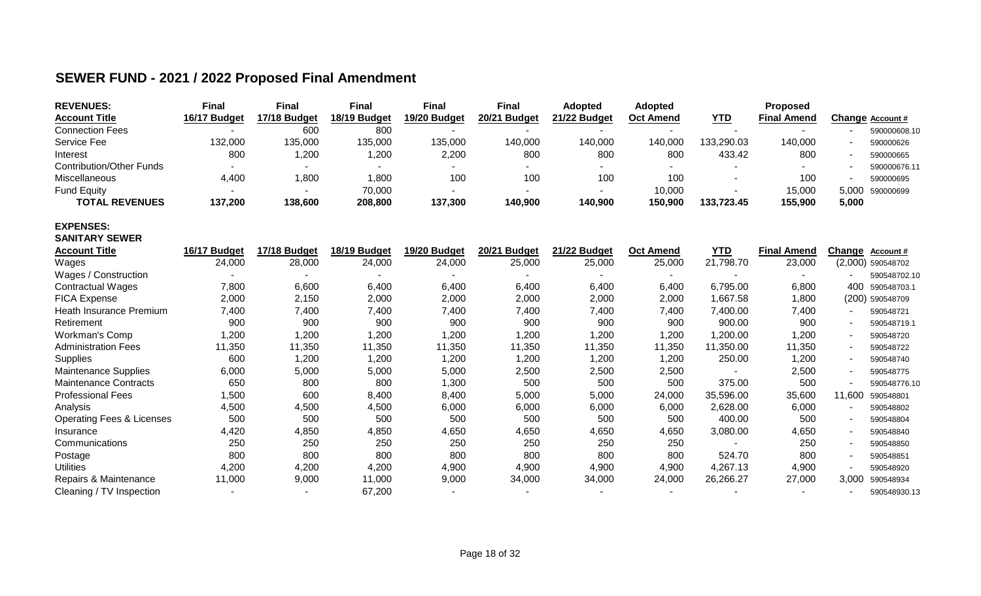## **SEWER FUND - 2021 / 2022 Proposed Final Amendment**

| <b>REVENUES:</b>                     | <b>Final</b>   | <b>Final</b> | <b>Final</b> | <b>Final</b> | <b>Final</b> | <b>Adopted</b> | <b>Adopted</b>           |            | Proposed           |                          |                   |
|--------------------------------------|----------------|--------------|--------------|--------------|--------------|----------------|--------------------------|------------|--------------------|--------------------------|-------------------|
| <b>Account Title</b>                 | 16/17 Budget   | 17/18 Budget | 18/19 Budget | 19/20 Budget | 20/21 Budget | 21/22 Budget   | <b>Oct Amend</b>         | YID        | <b>Final Amend</b> |                          | Change Account#   |
| <b>Connection Fees</b>               |                | 600          | 800          |              |              |                |                          |            |                    |                          | 590000608.10      |
| Service Fee                          | 132,000        | 135,000      | 135,000      | 135,000      | 140,000      | 140,000        | 140,000                  | 133,290.03 | 140,000            |                          | 590000626         |
| Interest                             | 800            | 1,200        | 1,200        | 2,200        | 800          | 800            | 800                      | 433.42     | 800                |                          | 590000665         |
| <b>Contribution/Other Funds</b>      |                | ۰            |              |              |              |                |                          |            |                    |                          | 590000676.11      |
| Miscellaneous                        | 4,400          | 1,800        | 1,800        | 100          | 100          | 100            | 100                      |            | 100                |                          | 590000695         |
| <b>Fund Equity</b>                   |                |              | 70,000       |              |              |                | 10,000                   |            | 15,000             | 5,000                    | 590000699         |
| <b>TOTAL REVENUES</b>                | 137,200        | 138,600      | 208,800      | 137,300      | 140,900      | 140,900        | 150,900                  | 133,723.45 | 155,900            | 5,000                    |                   |
| <b>EXPENSES:</b>                     |                |              |              |              |              |                |                          |            |                    |                          |                   |
| <b>SANITARY SEWER</b>                |                |              |              |              |              |                |                          |            |                    |                          |                   |
| <b>Account Title</b>                 | 16/17 Budget   | 17/18 Budget | 18/19 Budget | 19/20 Budget | 20/21 Budget | 21/22 Budget   | <b>Oct Amend</b>         | <b>YTD</b> | <b>Final Amend</b> | Change                   | Account#          |
| Wages                                | 24,000         | 28,000       | 24,000       | 24,000       | 25,000       | 25,000         | 25,000                   | 21,798.70  | 23,000             |                          | (2,000) 590548702 |
| Wages / Construction                 |                |              |              |              |              |                |                          |            |                    |                          | 590548702.10      |
| <b>Contractual Wages</b>             | 7,800          | 6,600        | 6,400        | 6,400        | 6,400        | 6,400          | 6,400                    | 6,795.00   | 6,800              | 400                      | 590548703.1       |
| <b>FICA Expense</b>                  | 2,000          | 2,150        | 2,000        | 2,000        | 2,000        | 2,000          | 2,000                    | 1,667.58   | 1,800              |                          | (200) 590548709   |
| Heath Insurance Premium              | 7,400          | 7,400        | 7,400        | 7,400        | 7,400        | 7,400          | 7,400                    | 7,400.00   | 7,400              |                          | 590548721         |
| Retirement                           | 900            | 900          | 900          | 900          | 900          | 900            | 900                      | 900.00     | 900                |                          | 590548719.1       |
| <b>Workman's Comp</b>                | 1,200          | 1,200        | 1,200        | 1,200        | 1,200        | 1,200          | 1,200                    | 1,200.00   | 1,200              |                          | 590548720         |
| <b>Administration Fees</b>           | 11,350         | 11,350       | 11,350       | 11,350       | 11,350       | 11,350         | 11,350                   | 11,350.00  | 11,350             |                          | 590548722         |
| Supplies                             | 600            | 1,200        | 1,200        | 1,200        | 1,200        | 1,200          | 1,200                    | 250.00     | 1,200              |                          | 590548740         |
| <b>Maintenance Supplies</b>          | 6,000          | 5,000        | 5,000        | 5,000        | 2,500        | 2,500          | 2,500                    |            | 2,500              |                          | 590548775         |
| <b>Maintenance Contracts</b>         | 650            | 800          | 800          | 1,300        | 500          | 500            | 500                      | 375.00     | 500                |                          | 590548776.10      |
| <b>Professional Fees</b>             | 1,500          | 600          | 8,400        | 8,400        | 5,000        | 5,000          | 24,000                   | 35,596.00  | 35,600             | 11,600                   | 590548801         |
| Analysis                             | 4,500          | 4,500        | 4,500        | 6,000        | 6,000        | 6,000          | 6,000                    | 2,628.00   | 6,000              |                          | 590548802         |
| <b>Operating Fees &amp; Licenses</b> | 500            | 500          | 500          | 500          | 500          | 500            | 500                      | 400.00     | 500                |                          | 590548804         |
| Insurance                            | 4,420          | 4,850        | 4,850        | 4,650        | 4,650        | 4,650          | 4,650                    | 3,080.00   | 4,650              | $\overline{\phantom{a}}$ | 590548840         |
| Communications                       | 250            | 250          | 250          | 250          | 250          | 250            | 250                      |            | 250                |                          | 590548850         |
| Postage                              | 800            | 800          | 800          | 800          | 800          | 800            | 800                      | 524.70     | 800                |                          | 590548851         |
| <b>Utilities</b>                     | 4,200          | 4,200        | 4,200        | 4,900        | 4,900        | 4,900          | 4,900                    | 4,267.13   | 4,900              |                          | 590548920         |
| Repairs & Maintenance                | 11,000         | 9,000        | 11,000       | 9,000        | 34,000       | 34,000         | 24,000                   | 26,266.27  | 27,000             | 3,000                    | 590548934         |
| Cleaning / TV Inspection             | $\blacksquare$ |              | 67,200       | $\sim$       |              |                | $\overline{\phantom{a}}$ |            |                    |                          | 590548930.13      |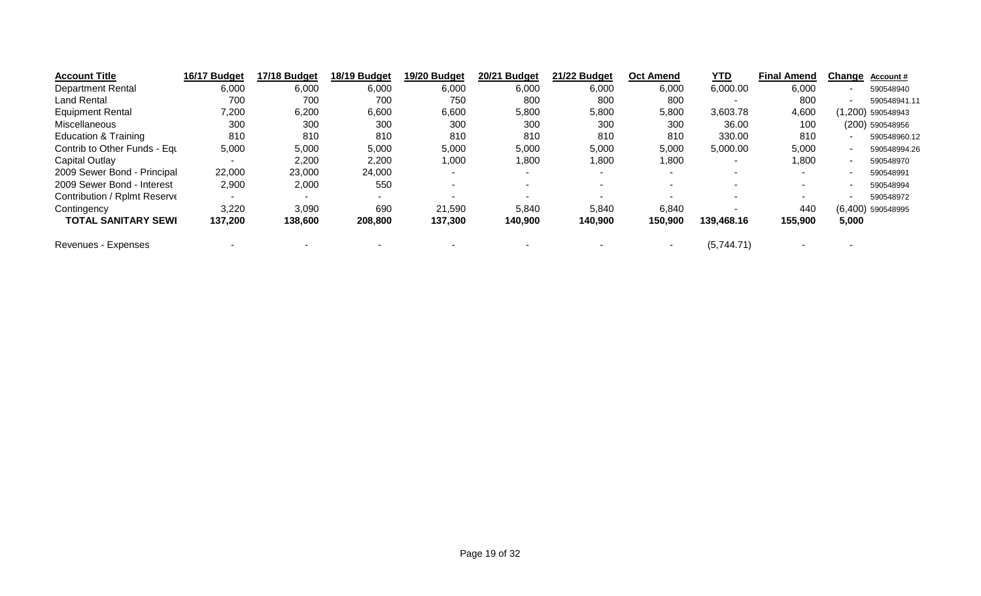| <b>Account Title</b>            | 16/17 Budget | 17/18 Budget | 18/19 Budget | 19/20 Budget             | 20/21 Budget | 21/22 Budget | <b>Oct Amend</b> | YTD        | <b>Final Amend</b> | Change | <b>Account #</b>    |
|---------------------------------|--------------|--------------|--------------|--------------------------|--------------|--------------|------------------|------------|--------------------|--------|---------------------|
| <b>Department Rental</b>        | 6,000        | 6,000        | 6,000        | 6,000                    | 6,000        | 6,000        | 6,000            | 6,000.00   | 6,000              |        | 590548940           |
| <b>Land Rental</b>              | 700          | 700          | 700          | 750                      | 800          | 800          | 800              |            | 800                | -      | 590548941.11        |
| <b>Equipment Rental</b>         | 7,200        | 6,200        | 6,600        | 6,600                    | 5,800        | 5,800        | 5,800            | 3,603.78   | 4,600              |        | 1,200) 590548943    |
| Miscellaneous                   | 300          | 300          | 300          | 300                      | 300          | 300          | 300              | 36.00      | 100                |        | (200) 590548956     |
| <b>Education &amp; Training</b> | 810          | 810          | 810          | 810                      | 810          | 810          | 810              | 330.00     | 810                |        | 590548960.12        |
| Contrib to Other Funds - Equ    | 5,000        | 5,000        | 5,000        | 5,000                    | 5,000        | 5,000        | 5,000            | 5,000.00   | 5,000              |        | 590548994.26        |
| Capital Outlay                  |              | 2,200        | 2,200        | 1,000                    | 1,800        | 0.800        | 1,800            |            | 1,800              |        | 590548970           |
| 2009 Sewer Bond - Principal     | 22,000       | 23,000       | 24,000       | $\overline{\phantom{a}}$ |              | ۰            |                  |            | $\sim$             |        | 590548991           |
| 2009 Sewer Bond - Interest      | 2,900        | 2,000        | 550          | ۰.                       |              |              | - 1              |            | <b>.</b>           |        | 590548994           |
| Contribution / Rplmt Reserve    |              |              | $\sim$       | -                        |              |              |                  |            | $\sim$             |        | 590548972           |
| Contingency                     | 3,220        | 3,090        | 690          | 21,590                   | 5,840        | 5,840        | 6,840            |            | 440                |        | $(6,400)$ 590548995 |
| <b>TOTAL SANITARY SEWI</b>      | 137,200      | 138,600      | 208,800      | 137,300                  | 140,900      | 140,900      | 150,900          | 139,468.16 | 155,900            | 5,000  |                     |
| Revenues - Expenses             |              |              |              |                          |              |              | ۰                | (5,744.71) |                    |        |                     |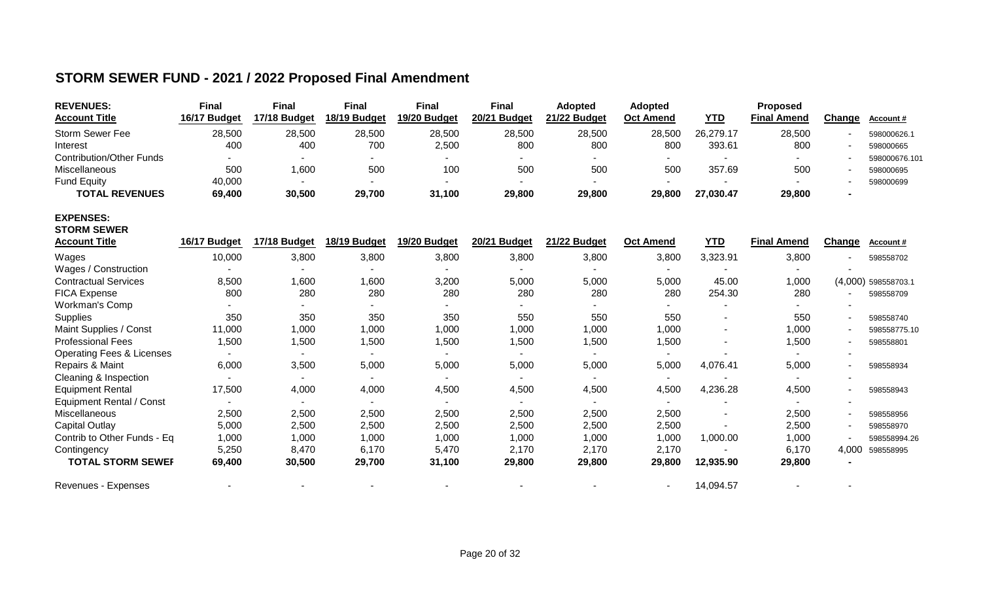## **STORM SEWER FUND - 2021 / 2022 Proposed Final Amendment**

| <b>REVENUES:</b><br><b>Account Title</b> | <b>Final</b><br>16/17 Budget | Final<br>17/18 Budget    | <b>Final</b><br>18/19 Budget | <b>Final</b><br>19/20 Budget | <b>Final</b><br>20/21 Budget | <b>Adopted</b><br>21/22 Budget | <b>Adopted</b><br>Oct Amend | <b>YTD</b> | <b>Proposed</b><br><b>Final Amend</b> | Change                   | Account#      |
|------------------------------------------|------------------------------|--------------------------|------------------------------|------------------------------|------------------------------|--------------------------------|-----------------------------|------------|---------------------------------------|--------------------------|---------------|
| Storm Sewer Fee                          | 28,500                       | 28,500                   | 28,500                       | 28,500                       | 28,500                       | 28,500                         | 28,500                      | 26,279.17  | 28,500                                | $\blacksquare$           | 598000626.1   |
| Interest                                 | 400                          | 400                      | 700                          | 2,500                        | 800                          | 800                            | 800                         | 393.61     | 800                                   | $\overline{\phantom{a}}$ | 598000665     |
| <b>Contribution/Other Funds</b>          |                              |                          |                              |                              |                              |                                | ۰.                          |            |                                       | $\overline{\phantom{a}}$ | 598000676.101 |
| Miscellaneous                            | 500                          | 1,600                    | 500                          | 100                          | 500                          | 500                            | 500                         | 357.69     | 500                                   | $\overline{\phantom{a}}$ | 598000695     |
| <b>Fund Equity</b>                       | 40,000                       |                          |                              |                              |                              |                                |                             |            |                                       | $\blacksquare$           | 598000699     |
| <b>TOTAL REVENUES</b>                    | 69,400                       | 30,500                   | 29,700                       | 31,100                       | 29,800                       | 29,800                         | 29,800                      | 27,030.47  | 29,800                                |                          |               |
| <b>EXPENSES:</b><br><b>STORM SEWER</b>   |                              |                          |                              |                              |                              |                                |                             |            |                                       |                          |               |
| <b>Account Title</b>                     | 16/17 Budget                 | 17/18 Budget             | 18/19 Budget                 | 19/20 Budget                 | 20/21 Budget                 | 21/22 Budget                   | <b>Oct Amend</b>            | <b>YTD</b> | <b>Final Amend</b>                    | Change                   | Account#      |
| Wages                                    | 10,000                       | 3,800                    | 3,800                        | 3,800                        | 3,800                        | 3,800                          | 3,800                       | 3,323.91   | 3,800                                 |                          | 598558702     |
| Wages / Construction                     |                              |                          |                              |                              |                              |                                | $\sim$                      |            |                                       |                          |               |
| <b>Contractual Services</b>              | 8,500                        | 1,600                    | 1,600                        | 3,200                        | 5,000                        | 5,000                          | 5,000                       | 45.00      | 1,000                                 | (4,000)                  | 598558703.1   |
| <b>FICA Expense</b>                      | 800                          | 280                      | 280                          | 280                          | 280                          | 280                            | 280                         | 254.30     | 280                                   |                          | 598558709     |
| Workman's Comp                           |                              |                          |                              |                              |                              |                                |                             |            |                                       |                          |               |
| Supplies                                 | 350                          | 350                      | 350                          | 350                          | 550                          | 550                            | 550                         |            | 550                                   | $\blacksquare$           | 598558740     |
| Maint Supplies / Const                   | 11,000                       | 1,000                    | 1,000                        | 1,000                        | 1,000                        | 1,000                          | 1,000                       |            | 1,000                                 | $\overline{\phantom{a}}$ | 598558775.10  |
| <b>Professional Fees</b>                 | 1,500                        | 1,500                    | 1,500                        | 1,500                        | 1,500                        | 1,500                          | 1,500                       |            | 1,500                                 | $\blacksquare$           | 598558801     |
| <b>Operating Fees &amp; Licenses</b>     |                              | $\blacksquare$           | $\blacksquare$               | $\blacksquare$               |                              |                                | $\sim$                      |            |                                       | $\overline{\phantom{a}}$ |               |
| Repairs & Maint                          | 6,000                        | 3,500                    | 5,000                        | 5,000                        | 5,000                        | 5,000                          | 5,000                       | 4,076.41   | 5,000                                 | $\blacksquare$           | 598558934     |
| Cleaning & Inspection                    |                              |                          |                              |                              |                              |                                |                             |            |                                       |                          |               |
| <b>Equipment Rental</b>                  | 17,500                       | 4,000                    | 4,000                        | 4,500                        | 4,500                        | 4,500                          | 4,500                       | 4,236.28   | 4,500                                 | $\blacksquare$           | 598558943     |
| <b>Equipment Rental / Const</b>          |                              | $\overline{\phantom{a}}$ | $\blacksquare$               |                              |                              |                                | $\sim$                      |            |                                       | ٠                        |               |
| Miscellaneous                            | 2,500                        | 2,500                    | 2,500                        | 2,500                        | 2,500                        | 2,500                          | 2,500                       |            | 2,500                                 | $\overline{\phantom{a}}$ | 598558956     |
| <b>Capital Outlay</b>                    | 5,000                        | 2,500                    | 2,500                        | 2,500                        | 2,500                        | 2,500                          | 2,500                       |            | 2,500                                 | $\overline{\phantom{a}}$ | 598558970     |
| Contrib to Other Funds - Eq              | 1,000                        | 1,000                    | 1,000                        | 1,000                        | 1,000                        | 1,000                          | 1,000                       | 1,000.00   | 1,000                                 | $\overline{\phantom{a}}$ | 598558994.26  |
| Contingency                              | 5,250                        | 8,470                    | 6,170                        | 5,470                        | 2,170                        | 2,170                          | 2,170                       |            | 6,170                                 | 4,000                    | 598558995     |
| <b>TOTAL STORM SEWEF</b>                 | 69,400                       | 30,500                   | 29,700                       | 31,100                       | 29,800                       | 29,800                         | 29,800                      | 12,935.90  | 29,800                                |                          |               |
| Revenues - Expenses                      |                              | $\blacksquare$           | $\blacksquare$               |                              |                              |                                |                             | 14,094.57  |                                       |                          |               |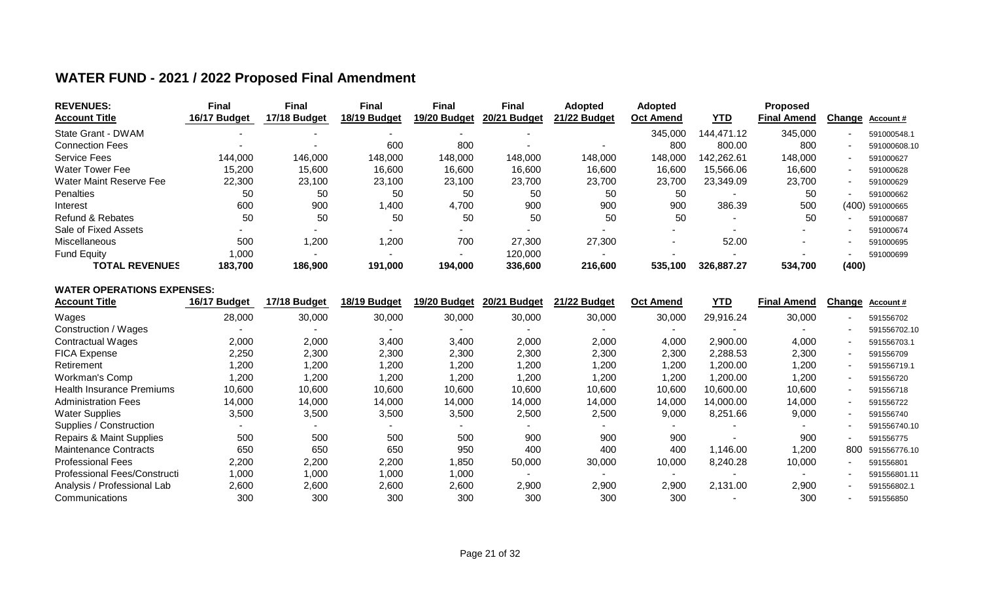| <b>REVENUES:</b>        | <b>Final</b> | <b>Final</b> | Final        | Final        | Final        | <b>Adopted</b> | <b>Adopted</b>   |            | <b>Proposed</b>    |        |                  |
|-------------------------|--------------|--------------|--------------|--------------|--------------|----------------|------------------|------------|--------------------|--------|------------------|
| <b>Account Title</b>    | 16/17 Budget | 17/18 Budget | 18/19 Budget | 19/20 Budget | 20/21 Budget | 21/22 Budget   | <b>Oct Amend</b> | <u>YTD</u> | <b>Final Amend</b> | Change | <b>Account #</b> |
| State Grant - DWAM      |              |              |              |              |              |                | 345,000          | 144,471.12 | 345,000            |        | 591000548.1      |
| <b>Connection Fees</b>  |              |              | 600          | 800          |              |                | 800              | 800.00     | 800                |        | 591000608.10     |
| <b>Service Fees</b>     | 144,000      | 146,000      | 148,000      | 148,000      | 148,000      | 148,000        | 148,000          | 142.262.61 | 148,000            |        | 591000627        |
| <b>Water Tower Fee</b>  | 15,200       | 15,600       | 16,600       | 16,600       | 16,600       | 16,600         | 16,600           | 15.566.06  | 16,600             |        | 591000628        |
| Water Maint Reserve Fee | 22,300       | 23,100       | 23,100       | 23,100       | 23,700       | 23,700         | 23,700           | 23,349.09  | 23,700             |        | 591000629        |
| Penalties               | 50           | 50           | 50           | 50           | 50           | 50             | 50               |            | 50                 |        | 591000662        |
| Interest                | 600          | 900          | ,400         | 4,700        | 900          | 900            | 900              | 386.39     | 500                |        | (400) 591000665  |
| Refund & Rebates        | 50           | 50           | 50           | 50           | 50           | 50             | 50               |            | 50                 |        | 591000687        |
| Sale of Fixed Assets    |              |              |              |              |              |                |                  |            |                    |        | 591000674        |
| Miscellaneous           | 500          | 1,200        | 1,200        | 700          | 27,300       | 27,300         |                  | 52.00      |                    |        | 591000695        |
| Fund Equity             | 000, ا       |              |              |              | 120,000      |                |                  |            |                    |        | 591000699        |
| <b>TOTAL REVENUES</b>   | 183.700      | 186,900      | 191,000      | 194,000      | 336,600      | 216,600        | 535.100          | 326,887.27 | 534,700            | (400)  |                  |

## **WATER FUND - 2021 / 2022 Proposed Final Amendment**

#### **WATER OPERATIONS EXPENSES:**

| <b>Account Title</b>                | 16/17 Budget | 17/18 Budget | 18/19 Budget | 19/20 Budget | 20/21 Budget | 21/22 Budget | <b>Oct Amend</b> | <b>YTD</b> | <b>Final Amend</b> | Change | Account#     |
|-------------------------------------|--------------|--------------|--------------|--------------|--------------|--------------|------------------|------------|--------------------|--------|--------------|
| Wages                               | 28,000       | 30,000       | 30,000       | 30,000       | 30,000       | 30,000       | 30,000           | 29,916.24  | 30,000             |        | 591556702    |
| Construction / Wages                |              |              |              |              |              |              |                  |            |                    |        | 591556702.10 |
| <b>Contractual Wages</b>            | 2,000        | 2,000        | 3,400        | 3,400        | 2,000        | 2,000        | 4,000            | 2,900.00   | 4,000              |        | 591556703.1  |
| <b>FICA Expense</b>                 | 2,250        | 2,300        | 2,300        | 2,300        | 2,300        | 2,300        | 2,300            | 2,288.53   | 2,300              |        | 591556709    |
| Retirement                          | 1,200        | 1,200        | ,200         | 1,200        | ,200         | 1,200        | 1,200            | 1,200.00   | 1,200              |        | 591556719.1  |
| Workman's Comp                      | 1,200        | 1,200        | ,200         | ,200         | 1,200        | 1,200        | 1,200            | 1,200.00   | 1,200              |        | 591556720    |
| <b>Health Insurance Premiums</b>    | 10,600       | 10,600       | 10,600       | 10,600       | 10,600       | 10,600       | 10,600           | 10,600.00  | 10,600             |        | 591556718    |
| <b>Administration Fees</b>          | 14,000       | 14,000       | 14,000       | 14,000       | 14,000       | 14,000       | 14,000           | 14,000.00  | 14,000             |        | 591556722    |
| <b>Water Supplies</b>               | 3,500        | 3,500        | 3,500        | 3,500        | 2,500        | 2,500        | 9,000            | 8,251.66   | 9,000              |        | 591556740    |
| Supplies / Construction             |              |              |              |              |              |              |                  |            |                    |        | 591556740.10 |
| <b>Repairs &amp; Maint Supplies</b> | 500          | 500          | 500          | 500          | 900          | 900          | 900              |            | 900                |        | 591556775    |
| <b>Maintenance Contracts</b>        | 650          | 650          | 650          | 950          | 400          | 400          | 400              | 1,146.00   | 1,200              | 800    | 591556776.10 |
| <b>Professional Fees</b>            | 2,200        | 2,200        | 2,200        | 850, ا       | 50,000       | 30,000       | 10,000           | 8,240.28   | 10,000             |        | 591556801    |
| Professional Fees/Constructi        | 1,000        | 1,000        | 1,000        | 1,000        |              |              |                  |            |                    |        | 591556801.11 |
| Analysis / Professional Lab         | 2,600        | 2,600        | 2,600        | 2,600        | 2,900        | 2,900        | 2,900            | 2,131.00   | 2,900              |        | 591556802.1  |
| Communications                      | 300          | 300          | 300          | 300          | 300          | 300          | 300              |            | 300                |        | 591556850    |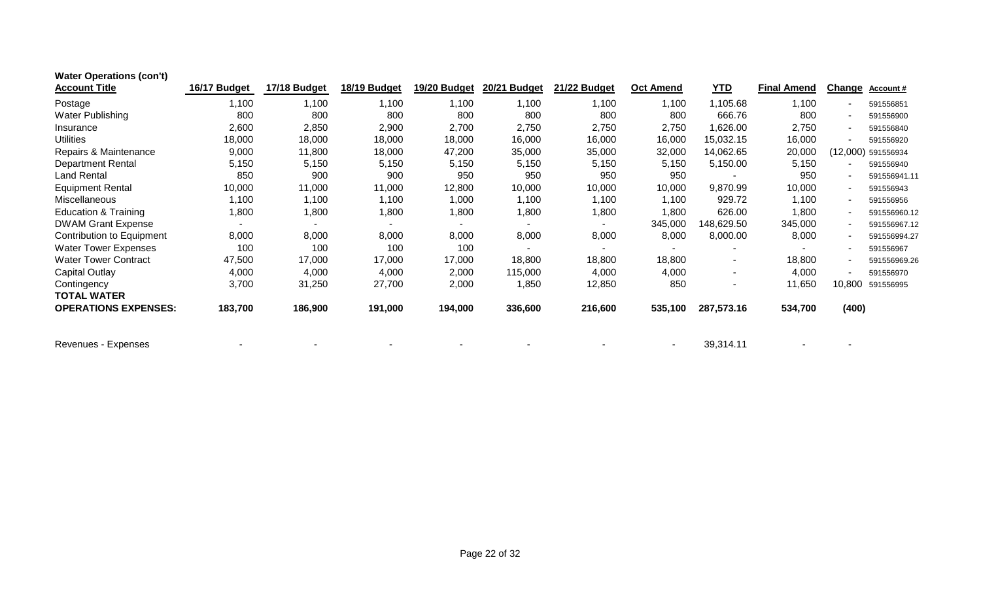| <b>Water Operations (con't)</b> |              |              |              |              |                          |              |                          |            |                    |               |                  |
|---------------------------------|--------------|--------------|--------------|--------------|--------------------------|--------------|--------------------------|------------|--------------------|---------------|------------------|
| <b>Account Title</b>            | 16/17 Budget | 17/18 Budget | 18/19 Budget | 19/20 Budget | 20/21 Budget             | 21/22 Budget | <b>Oct Amend</b>         | <b>YTD</b> | <b>Final Amend</b> | <b>Change</b> | <b>Account #</b> |
| Postage                         | 1,100        | 1,100        | 1,100        | 1,100        | 1,100                    | 1,100        | 1,100                    | 1,105.68   | 1,100              |               | 591556851        |
| Water Publishing                | 800          | 800          | 800          | 800          | 800                      | 800          | 800                      | 666.76     | 800                |               | 591556900        |
| Insurance                       | 2,600        | 2,850        | 2,900        | 2,700        | 2,750                    | 2,750        | 2,750                    | 1,626.00   | 2,750              |               | 591556840        |
| <b>Utilities</b>                | 18,000       | 18,000       | 18,000       | 18,000       | 16,000                   | 16,000       | 16,000                   | 15,032.15  | 16,000             |               | 591556920        |
| Repairs & Maintenance           | 9,000        | 11,800       | 18,000       | 47,200       | 35,000                   | 35,000       | 32,000                   | 14,062.65  | 20,000             | (12,000)      | 591556934        |
| <b>Department Rental</b>        | 5,150        | 5,150        | 5,150        | 5,150        | 5,150                    | 5,150        | 5,150                    | 5,150.00   | 5,150              |               | 591556940        |
| <b>Land Rental</b>              | 850          | 900          | 900          | 950          | 950                      | 950          | 950                      | ۰          | 950                |               | 591556941.11     |
| <b>Equipment Rental</b>         | 10,000       | 11,000       | 11,000       | 12,800       | 10,000                   | 10,000       | 10,000                   | 9,870.99   | 10,000             |               | 591556943        |
| <b>Miscellaneous</b>            | 1,100        | 1,100        | 1,100        | 1,000        | 1,100                    | 1,100        | 1,100                    | 929.72     | 1,100              |               | 591556956        |
| <b>Education &amp; Training</b> | 1,800        | 1,800        | 1,800        | 1,800        | 1,800                    | 1,800        | 1,800                    | 626.00     | 1,800              |               | 591556960.12     |
| <b>DWAM Grant Expense</b>       |              |              |              |              |                          |              | 345,000                  | 148,629.50 | 345,000            |               | 591556967.12     |
| Contribution to Equipment       | 8,000        | 8,000        | 8,000        | 8,000        | 8,000                    | 8,000        | 8,000                    | 8,000.00   | 8,000              |               | 591556994.27     |
| <b>Water Tower Expenses</b>     | 100          | 100          | 100          | 100          | $\overline{\phantom{a}}$ |              | $\blacksquare$           |            |                    |               | 591556967        |
| <b>Water Tower Contract</b>     | 47,500       | 17,000       | 17,000       | 17,000       | 18,800                   | 18,800       | 18,800                   | ۰.         | 18,800             |               | 591556969.26     |
| <b>Capital Outlay</b>           | 4,000        | 4,000        | 4,000        | 2,000        | 115,000                  | 4,000        | 4,000                    | ۰          | 4,000              |               | 591556970        |
| Contingency                     | 3,700        | 31,250       | 27,700       | 2,000        | 1,850                    | 12,850       | 850                      | ۰          | 11,650             | 10,800        | 591556995        |
| <b>TOTAL WATER</b>              |              |              |              |              |                          |              |                          |            |                    |               |                  |
| <b>OPERATIONS EXPENSES:</b>     | 183,700      | 186,900      | 191,000      | 194,000      | 336,600                  | 216,600      | 535,100                  | 287,573.16 | 534,700            | (400)         |                  |
| Revenues - Expenses             |              |              |              |              |                          |              | $\overline{\phantom{a}}$ | 39,314.11  |                    |               |                  |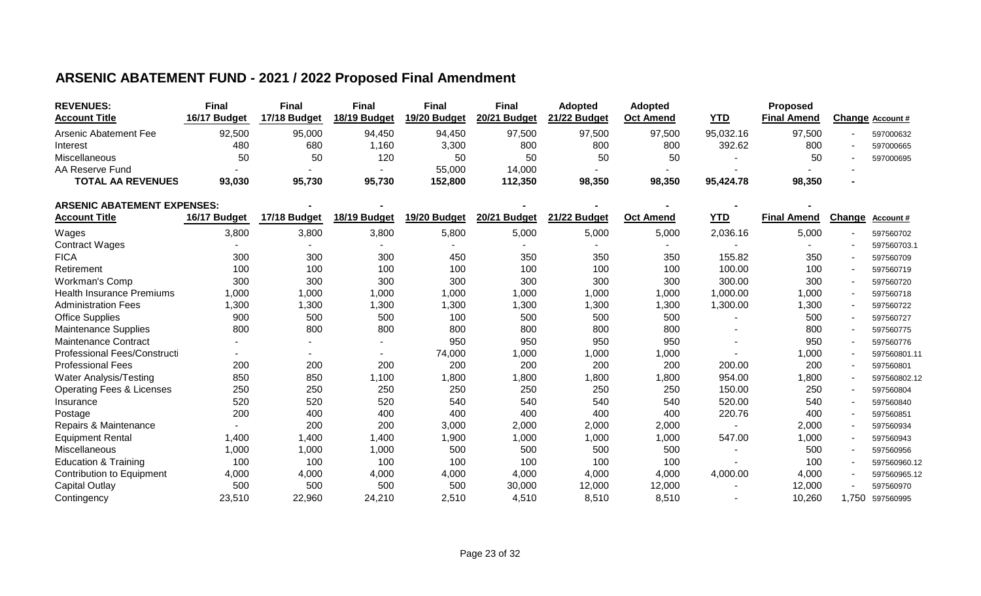## **ARSENIC ABATEMENT FUND - 2021 / 2022 Proposed Final Amendment**

| <b>REVENUES:</b>                     | <b>Final</b> | <b>Final</b> | <b>Final</b> | <b>Final</b> | <b>Final</b> | <b>Adopted</b> | Adopted          |            | Proposed           |        |                  |
|--------------------------------------|--------------|--------------|--------------|--------------|--------------|----------------|------------------|------------|--------------------|--------|------------------|
| <b>Account Title</b>                 | 16/17 Budget | 17/18 Budget | 18/19 Budget | 19/20 Budget | 20/21 Budget | 21/22 Budget   | <b>Oct Amend</b> | <b>YTD</b> | <b>Final Amend</b> |        | Change Account # |
| <b>Arsenic Abatement Fee</b>         | 92,500       | 95,000       | 94,450       | 94,450       | 97,500       | 97,500         | 97,500           | 95,032.16  | 97,500             |        | 597000632        |
| Interest                             | 480          | 680          | 1,160        | 3,300        | 800          | 800            | 800              | 392.62     | 800                |        | 597000665        |
| Miscellaneous                        | 50           | 50           | 120          | 50           | 50           | 50             | 50               |            | 50                 |        | 597000695        |
| AA Reserve Fund                      |              |              |              | 55,000       | 14,000       |                |                  |            |                    |        |                  |
| <b>TOTAL AA REVENUES</b>             | 93,030       | 95,730       | 95,730       | 152,800      | 112,350      | 98,350         | 98,350           | 95,424.78  | 98,350             |        |                  |
| <b>ARSENIC ABATEMENT EXPENSES:</b>   |              |              |              |              |              |                |                  |            |                    |        |                  |
| <b>Account Title</b>                 | 16/17 Budget | 17/18 Budget | 18/19 Budget | 19/20 Budget | 20/21 Budget | 21/22 Budget   | <b>Oct Amend</b> | <b>YTD</b> | <b>Final Amend</b> | Change |                  |
|                                      |              |              |              |              |              |                |                  |            |                    |        | Account#         |
| Wages                                | 3,800        | 3,800        | 3,800        | 5,800        | 5,000        | 5,000          | 5,000            | 2,036.16   | 5,000              |        | 597560702        |
| <b>Contract Wages</b>                |              |              |              |              |              |                |                  |            |                    |        | 597560703.1      |
| <b>FICA</b>                          | 300          | 300          | 300          | 450          | 350          | 350            | 350              | 155.82     | 350                |        | 597560709        |
| Retirement                           | 100          | 100          | 100          | 100          | 100          | 100            | 100              | 100.00     | 100                |        | 597560719        |
| Workman's Comp                       | 300          | 300          | 300          | 300          | 300          | 300            | 300              | 300.00     | 300                |        | 597560720        |
| <b>Health Insurance Premiums</b>     | 1,000        | 1,000        | 1,000        | 1,000        | 1,000        | 1,000          | 1,000            | 1,000.00   | 1,000              |        | 597560718        |
| <b>Administration Fees</b>           | 1,300        | 1,300        | 1,300        | 1,300        | 1,300        | 1,300          | 1,300            | 1,300.00   | 1,300              |        | 597560722        |
| <b>Office Supplies</b>               | 900          | 500          | 500          | 100          | 500          | 500            | 500              |            | 500                |        | 597560727        |
| <b>Maintenance Supplies</b>          | 800          | 800          | 800          | 800          | 800          | 800            | 800              |            | 800                |        | 597560775        |
| <b>Maintenance Contract</b>          |              |              |              | 950          | 950          | 950            | 950              |            | 950                |        | 597560776        |
| <b>Professional Fees/Constructi</b>  |              |              |              | 74,000       | 1,000        | 1,000          | 1,000            |            | 1,000              |        | 597560801.11     |
| <b>Professional Fees</b>             | 200          | 200          | 200          | 200          | 200          | 200            | 200              | 200.00     | 200                |        | 597560801        |
| <b>Water Analysis/Testing</b>        | 850          | 850          | 1,100        | 1,800        | 1,800        | 1,800          | 1,800            | 954.00     | 1,800              |        | 597560802.12     |
| <b>Operating Fees &amp; Licenses</b> | 250          | 250          | 250          | 250          | 250          | 250            | 250              | 150.00     | 250                |        | 597560804        |
| Insurance                            | 520          | 520          | 520          | 540          | 540          | 540            | 540              | 520.00     | 540                |        | 597560840        |
| Postage                              | 200          | 400          | 400          | 400          | 400          | 400            | 400              | 220.76     | 400                |        | 597560851        |
| Repairs & Maintenance                |              | 200          | 200          | 3,000        | 2,000        | 2,000          | 2,000            |            | 2,000              |        | 597560934        |
| <b>Equipment Rental</b>              | 1,400        | 1,400        | 1,400        | 1,900        | 1,000        | 1,000          | 1,000            | 547.00     | 1,000              |        | 597560943        |
| Miscellaneous                        | 1,000        | 1,000        | 1,000        | 500          | 500          | 500            | 500              |            | 500                |        | 597560956        |
| <b>Education &amp; Training</b>      | 100          | 100          | 100          | 100          | 100          | 100            | 100              |            | 100                |        | 597560960.12     |
| <b>Contribution to Equipment</b>     | 4,000        | 4,000        | 4,000        | 4,000        | 4,000        | 4,000          | 4,000            | 4,000.00   | 4,000              |        | 597560965.12     |
| Capital Outlay                       | 500          | 500          | 500          | 500          | 30,000       | 12,000         | 12,000           |            | 12,000             |        | 597560970        |
| Contingency                          | 23,510       | 22,960       | 24,210       | 2,510        | 4,510        | 8,510          | 8,510            |            | 10,260             | 1,750  | 597560995        |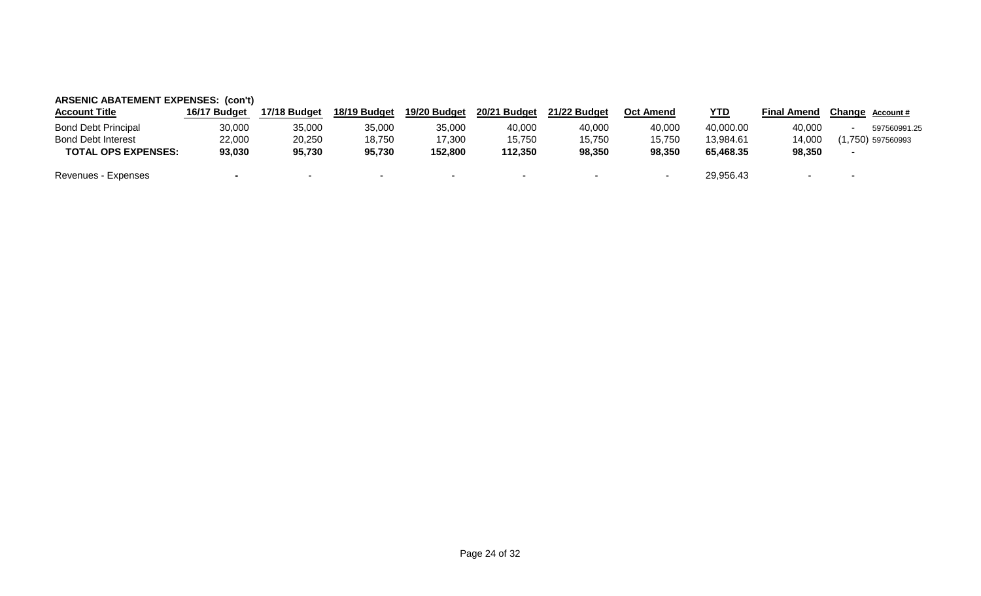| <b>ARSENIC ABATEMENT EXPENSES: (con't)</b> |              |              |              |              |              |                          |                  |            |                    |        |                     |  |  |
|--------------------------------------------|--------------|--------------|--------------|--------------|--------------|--------------------------|------------------|------------|--------------------|--------|---------------------|--|--|
| <b>Account Title</b>                       | 16/17 Budget | 17/18 Budget | 18/19 Budget | 19/20 Budget | 20/21 Budget | 21/22 Budget             | <b>Oct Amend</b> | <b>YTD</b> | <b>Final Amend</b> |        | Change Account #    |  |  |
| <b>Bond Debt Principal</b>                 | 30,000       | 35,000       | 35,000       | 35,000       | 40,000       | 40,000                   | 40,000           | 40,000.00  | 40,000             |        | 597560991.25        |  |  |
| <b>Bond Debt Interest</b>                  | 22,000       | 20,250       | 18,750       | 17,300       | 15,750       | 15,750                   | 15,750           | 13.984.61  | 14.000             |        | $(1,750)$ 597560993 |  |  |
| <b>TOTAL OPS EXPENSES:</b>                 | 93,030       | 95,730       | 95,730       | 152,800      | 112,350      | 98,350                   | 98,350           | 65,468.35  | 98,350             |        |                     |  |  |
| Revenues - Expenses                        |              |              |              |              | $\sim$       | $\overline{\phantom{a}}$ |                  | 29,956.43  |                    | $\sim$ |                     |  |  |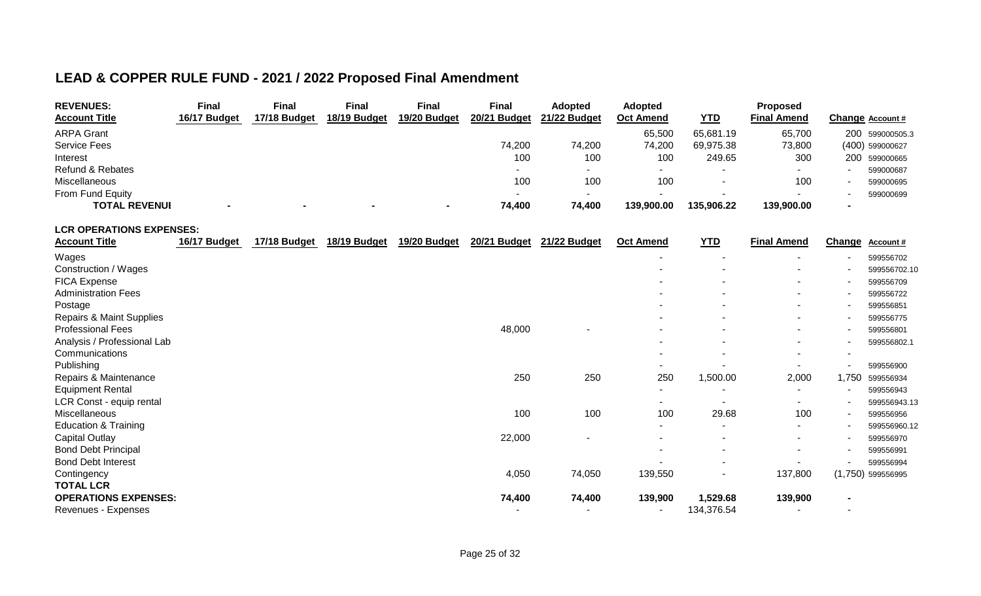## **LEAD & COPPER RULE FUND - 2021 / 2022 Proposed Final Amendment**

| <b>REVENUES:</b>            | Final        | Final        | Final        | Final        | Final                    | <b>Adopted</b>           | <b>Adopted</b>   |            | Proposed           |                  |
|-----------------------------|--------------|--------------|--------------|--------------|--------------------------|--------------------------|------------------|------------|--------------------|------------------|
| <b>Account Title</b>        | 16/17 Budget | 17/18 Budget | 18/19 Budget | 19/20 Budget | 20/21 Budget             | 21/22 Budget             | <b>Oct Amend</b> | <b>YTD</b> | <b>Final Amend</b> | Change Account # |
| <b>ARPA Grant</b>           |              |              |              |              |                          |                          | 65,500           | 65,681.19  | 65,700             | 200 599000505.3  |
| <b>Service Fees</b>         |              |              |              |              | 74,200                   | 74,200                   | 74,200           | 69.975.38  | 73,800             | (400) 599000627  |
| Interest                    |              |              |              |              | 100                      | 100                      | 100              | 249.65     | 300                | 200 599000665    |
| <b>Refund &amp; Rebates</b> |              |              |              |              | $\overline{\phantom{a}}$ | $\overline{\phantom{0}}$ |                  |            |                    | 599000687        |
| Miscellaneous               |              |              |              |              | 100                      | 100                      | 100              |            | 100                | 599000695        |
| From Fund Equity            |              |              |              |              |                          | $\overline{\phantom{a}}$ |                  |            |                    | 599000699        |
| <b>TOTAL REVENUI</b>        |              |              | $\sim$       |              | 74,400                   | 74,400                   | 139,900.00       | 135,906.22 | 139,900.00         |                  |

**LCR OPERATIONS EXPENSES:**

| <b>Account Title</b>            | 16/17 Budget | 17/18 Budget | 18/19 Budget | 19/20 Budget | 20/21 Budget | 21/22 Budget | <b>Oct Amend</b>         | <b>YTD</b> | <b>Final Amend</b>       | Change                   | Account#          |
|---------------------------------|--------------|--------------|--------------|--------------|--------------|--------------|--------------------------|------------|--------------------------|--------------------------|-------------------|
| Wages                           |              |              |              |              |              |              | $\overline{\phantom{a}}$ |            | $\overline{\phantom{0}}$ |                          | 599556702         |
| Construction / Wages            |              |              |              |              |              |              | ٠                        |            | $\overline{\phantom{a}}$ |                          | 599556702.10      |
| FICA Expense                    |              |              |              |              |              |              | ٠                        |            | $\sim$                   |                          | 599556709         |
| <b>Administration Fees</b>      |              |              |              |              |              |              | ۰                        |            | $\sim$                   |                          | 599556722         |
| Postage                         |              |              |              |              |              |              | ٠                        |            | $\sim$                   |                          | 599556851         |
| Repairs & Maint Supplies        |              |              |              |              |              |              | ٠                        | ۰.         | $\sim$                   |                          | 599556775         |
| <b>Professional Fees</b>        |              |              |              |              | 48,000       | ٠            | $\overline{\phantom{a}}$ |            | $\overline{\phantom{a}}$ |                          | 599556801         |
| Analysis / Professional Lab     |              |              |              |              |              |              | $\overline{\phantom{a}}$ |            | $\sim$                   |                          | 599556802.1       |
| Communications                  |              |              |              |              |              |              | $\overline{\phantom{a}}$ |            | $\sim$                   |                          |                   |
| Publishing                      |              |              |              |              |              |              | ۰                        |            |                          |                          | 599556900         |
| Repairs & Maintenance           |              |              |              |              | 250          | 250          | 250                      | 1,500.00   | 2,000                    | 1,750                    | 599556934         |
| <b>Equipment Rental</b>         |              |              |              |              |              |              | ۰.                       |            |                          |                          | 599556943         |
| LCR Const - equip rental        |              |              |              |              |              |              | ۰                        |            |                          |                          | 599556943.13      |
| Miscellaneous                   |              |              |              |              | 100          | 100          | 100                      | 29.68      | 100                      | $\overline{\phantom{a}}$ | 599556956         |
| <b>Education &amp; Training</b> |              |              |              |              |              |              | $\overline{\phantom{a}}$ |            | $\sim$                   |                          | 599556960.12      |
| <b>Capital Outlay</b>           |              |              |              |              | 22,000       | ٠            | $\overline{\phantom{a}}$ |            | $\sim$                   |                          | 599556970         |
| <b>Bond Debt Principal</b>      |              |              |              |              |              |              | ٠                        |            | $\overline{\phantom{0}}$ |                          | 599556991         |
| <b>Bond Debt Interest</b>       |              |              |              |              |              |              |                          |            |                          |                          | 599556994         |
| Contingency                     |              |              |              |              | 4,050        | 74,050       | 139,550                  |            | 137,800                  |                          | (1,750) 599556995 |
| <b>TOTAL LCR</b>                |              |              |              |              |              |              |                          |            |                          |                          |                   |
| <b>OPERATIONS EXPENSES:</b>     |              |              |              |              | 74,400       | 74,400       | 139,900                  | 1,529.68   | 139,900                  | $\overline{\phantom{0}}$ |                   |
| Revenues - Expenses             |              |              |              |              |              |              | ۰                        | 134,376.54 |                          |                          |                   |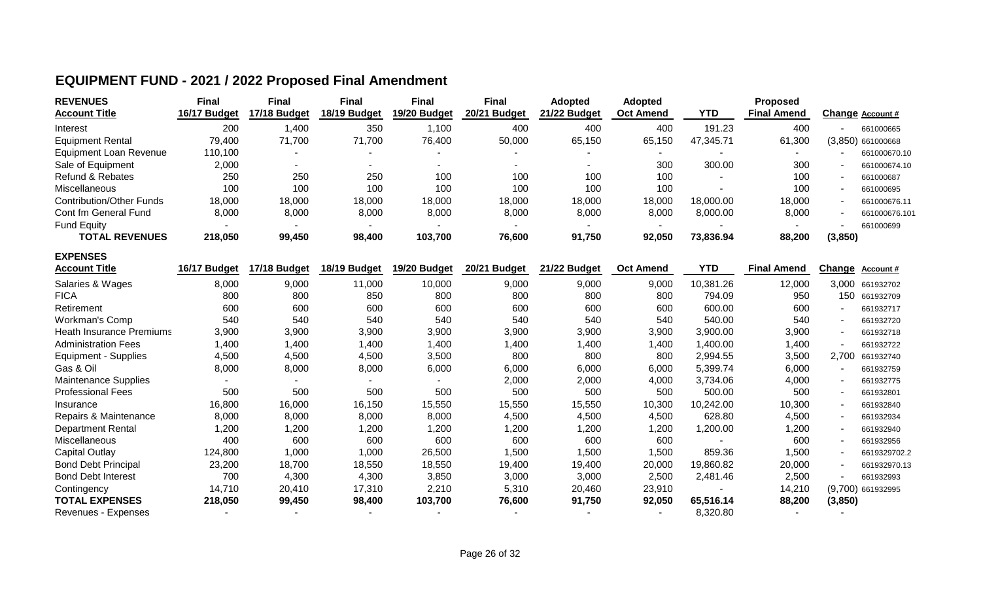| <b>REVENUES</b><br><b>Account Title</b> | <b>Final</b><br>16/17 Budget | Final<br>17/18 Budget | <b>Final</b><br>18/19 Budget | <b>Final</b><br>19/20 Budget | <b>Final</b><br>20/21 Budget | <b>Adopted</b><br>21/22 Budget | <b>Adopted</b><br><b>Oct Amend</b> | <b>YTD</b> | Proposed<br><b>Final Amend</b> |                          | Change Account #    |
|-----------------------------------------|------------------------------|-----------------------|------------------------------|------------------------------|------------------------------|--------------------------------|------------------------------------|------------|--------------------------------|--------------------------|---------------------|
| Interest                                | 200                          | 1,400                 | 350                          | ,100                         | 400                          | 400                            | 400                                | 191.23     | 400                            | $\overline{\phantom{a}}$ | 661000665           |
| <b>Equipment Rental</b>                 | 79,400                       | 71,700                | 71,700                       | 76,400                       | 50,000                       | 65,150                         | 65,150                             | 47,345.71  | 61,300                         |                          | $(3,850)$ 661000668 |
| <b>Equipment Loan Revenue</b>           | 110,100                      |                       |                              |                              |                              |                                |                                    |            |                                |                          | 661000670.10        |
| Sale of Equipment                       | 2,000                        |                       |                              |                              |                              | -                              | 300                                | 300.00     | 300                            | $\overline{\phantom{0}}$ | 661000674.10        |
| <b>Refund &amp; Rebates</b>             | 250                          | 250                   | 250                          | 100                          | 100                          | 100                            | 100                                | -          | 100                            | $\overline{\phantom{a}}$ | 661000687           |
| Miscellaneous                           | 100                          | 100                   | 100                          | 100                          | 100                          | 100                            | 100                                |            | 100                            | $\overline{\phantom{0}}$ | 661000695           |
| Contribution/Other Funds                | 18,000                       | 18,000                | 18,000                       | 18,000                       | 18,000                       | 18,000                         | 18,000                             | 18,000.00  | 18,000                         | $\overline{\phantom{0}}$ | 661000676.11        |
| Cont fm General Fund                    | 8,000                        | 8,000                 | 8,000                        | 8,000                        | 8,000                        | 8,000                          | 8,000                              | 8,000.00   | 8,000                          | $\overline{\phantom{a}}$ | 661000676.101       |
| <b>Fund Equity</b>                      |                              | $\sim$                |                              |                              |                              | $\sim$                         |                                    |            |                                |                          | 661000699           |
| <b>TOTAL REVENUES</b>                   | 218,050                      | 99,450                | 98,400                       | 103,700                      | 76,600                       | 91,750                         | 92,050                             | 73,836.94  | 88,200                         | (3, 850)                 |                     |

## **EQUIPMENT FUND - 2021 / 2022 Proposed Final Amendment**

**EXPENSES**

| <b>Account Title</b>            | 16/17 Budget | 17/18 Budget | 18/19 Budget | 19/20 Budget | 20/21 Budget | 21/22 Budget | <b>Oct Amend</b> | <b>YTD</b> | <b>Final Amend</b> | <b>Change</b> | <b>Account #</b>    |
|---------------------------------|--------------|--------------|--------------|--------------|--------------|--------------|------------------|------------|--------------------|---------------|---------------------|
| Salaries & Wages                | 8,000        | 9,000        | 11,000       | 10,000       | 9,000        | 9,000        | 9,000            | 10,381.26  | 12,000             | 3,000         | 661932702           |
| <b>FICA</b>                     | 800          | 800          | 850          | 800          | 800          | 800          | 800              | 794.09     | 950                | 150           | 661932709           |
| Retirement                      | 600          | 600          | 600          | 600          | 600          | 600          | 600              | 600.00     | 600                |               | 661932717           |
| <b>Workman's Comp</b>           | 540          | 540          | 540          | 540          | 540          | 540          | 540              | 540.00     | 540                |               | 661932720           |
| <b>Heath Insurance Premiums</b> | 3,900        | 3,900        | 3,900        | 3,900        | 3,900        | 3,900        | 3,900            | 3,900.00   | 3,900              |               | 661932718           |
| <b>Administration Fees</b>      | ,400         | ,400         | 1,400        | 1,400        | 1,400        | 1,400        | 400, ا           | ,400.00    | 1,400              |               | 661932722           |
| Equipment - Supplies            | 4,500        | 4,500        | 4,500        | 3,500        | 800          | 800          | 800              | 2,994.55   | 3,500              | 2,700         | 661932740           |
| Gas & Oil                       | 8,000        | 8,000        | 8,000        | 6,000        | 6,000        | 6,000        | 6,000            | 5,399.74   | 6,000              |               | 661932759           |
| Maintenance Supplies            |              |              |              |              | 2,000        | 2,000        | 4,000            | 3,734.06   | 4,000              |               | 661932775           |
| <b>Professional Fees</b>        | 500          | 500          | 500          | 500          | 500          | 500          | 500              | 500.00     | 500                |               | 661932801           |
| Insurance                       | 16,800       | 16,000       | 16,150       | 15,550       | 15,550       | 15,550       | 10,300           | 10,242.00  | 10,300             |               | 661932840           |
| Repairs & Maintenance           | 8,000        | 8,000        | 8,000        | 8,000        | 4,500        | 4,500        | 4,500            | 628.80     | 4,500              |               | 661932934           |
| <b>Department Rental</b>        | 1,200        | 1,200        | 1,200        | 1,200        | 1,200        | 0.200        | ,200             | ,200.00    | 1,200              |               | 661932940           |
| <b>Miscellaneous</b>            | 400          | 600          | 600          | 600          | 600          | 600          | 600              |            | 600                |               | 661932956           |
| <b>Capital Outlay</b>           | 124,800      | 1,000        | 1,000        | 26,500       | 1,500        | 1,500        | ,500             | 859.36     | 1,500              |               | 6619329702.2        |
| <b>Bond Debt Principal</b>      | 23,200       | 18,700       | 18,550       | 18,550       | 19,400       | 19,400       | 20,000           | 19,860.82  | 20,000             |               | 661932970.13        |
| <b>Bond Debt Interest</b>       | 700          | 4,300        | 4,300        | 3,850        | 3,000        | 3,000        | 2,500            | 2,481.46   | 2,500              |               | 661932993           |
| Contingency                     | 14,710       | 20,410       | 17,310       | 2,210        | 5,310        | 20,460       | 23,910           |            | 14,210             |               | $(9,700)$ 661932995 |
| <b>TOTAL EXPENSES</b>           | 218,050      | 99,450       | 98,400       | 103,700      | 76,600       | 91,750       | 92,050           | 65,516.14  | 88,200             | (3, 850)      |                     |
| Revenues - Expenses             |              |              |              |              |              |              |                  | 8,320.80   |                    |               |                     |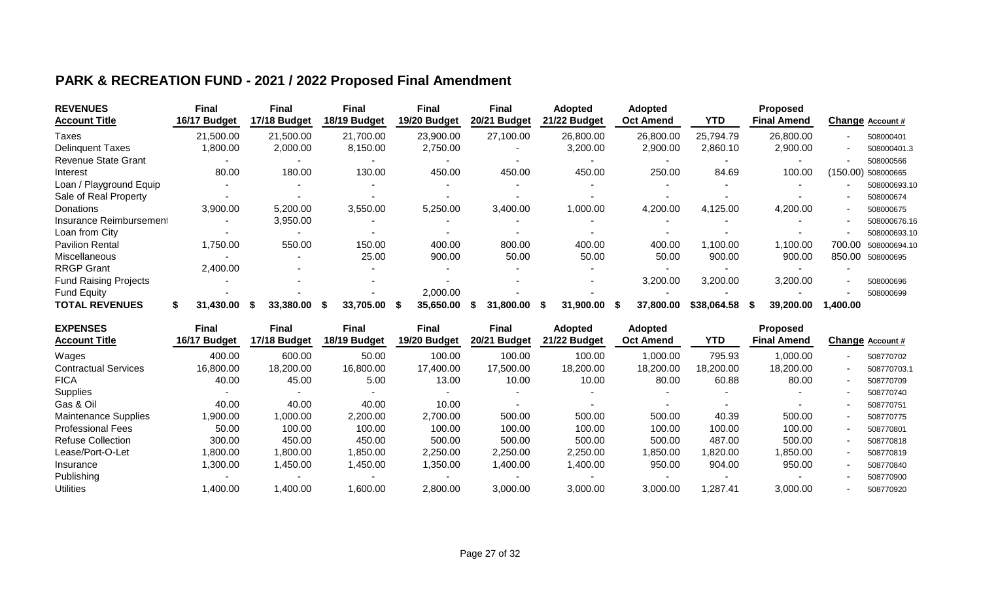## **PARK & RECREATION FUND - 2021 / 2022 Proposed Final Amendment**

| <b>REVENUES</b><br><b>Account Title</b> | <b>Final</b><br>16/17 Budget | <b>Final</b><br>17/18 Budget | <b>Final</b><br>18/19 Budget | Final<br>19/20 Budget | <b>Final</b><br>20/21 Budget | Adopted<br>21/22 Budget | <b>Adopted</b><br><b>Oct Amend</b> | YTD         | <b>Proposed</b><br><b>Final Amend</b> | Change Account #       |
|-----------------------------------------|------------------------------|------------------------------|------------------------------|-----------------------|------------------------------|-------------------------|------------------------------------|-------------|---------------------------------------|------------------------|
| Taxes                                   | 21,500.00                    | 21,500.00                    | 21,700.00                    | 23,900.00             | 27,100.00                    | 26,800.00               | 26,800.00                          | 25,794.79   | 26,800.00                             | 508000401              |
| <b>Delinquent Taxes</b>                 | 1,800.00                     | 2,000.00                     | 8,150.00                     | 2,750.00              |                              | 3,200.00                | 2,900.00                           | 2,860.10    | 2,900.00                              | 508000401.3            |
| <b>Revenue State Grant</b>              |                              |                              |                              |                       |                              |                         |                                    |             |                                       | 508000566              |
| Interest                                | 80.00                        | 180.00                       | 130.00                       | 450.00                | 450.00                       | 450.00                  | 250.00                             | 84.69       | 100.00                                | (150.00) 508000665     |
| Loan / Playground Equip                 |                              |                              |                              |                       |                              |                         |                                    |             |                                       | 508000693.10           |
| Sale of Real Property                   |                              |                              |                              |                       |                              |                         |                                    |             |                                       | 508000674              |
| Donations                               | 3,900.00                     | 5,200.00                     | 3,550.00                     | 5,250.00              | 3,400.00                     | 1,000.00                | 4,200.00                           | 4,125.00    | 4,200.00                              | 508000675              |
| Insurance Reimbursement                 |                              | 3,950.00                     |                              |                       |                              |                         |                                    |             |                                       | 508000676.16           |
| Loan from City                          |                              |                              |                              |                       |                              |                         |                                    |             |                                       | 508000693.10           |
| <b>Pavilion Rental</b>                  | 1,750.00                     | 550.00                       | 150.00                       | 400.00                | 800.00                       | 400.00                  | 400.00                             | 1,100.00    | 1,100.00                              | 700.00<br>508000694.10 |
| <b>Miscellaneous</b>                    |                              |                              | 25.00                        | 900.00                | 50.00                        | 50.00                   | 50.00                              | 900.00      | 900.00                                | 850.00<br>508000695    |
| <b>RRGP Grant</b>                       | 2,400.00                     |                              |                              |                       |                              |                         |                                    |             |                                       |                        |
| <b>Fund Raising Projects</b>            |                              |                              |                              |                       |                              |                         | 3,200.00                           | 3,200.00    | 3,200.00                              | 508000696              |
| <b>Fund Equity</b>                      |                              |                              |                              | 2,000.00              |                              |                         |                                    |             |                                       | 508000699              |
| <b>TOTAL REVENUES</b>                   | 31.430.00                    | 33,380.00<br>ъ               | 33,705.00<br>- S             | 35,650.00             | 31,800,00                    | 31,900.00               | 37,800.00                          | \$38,064.58 | 39,200.00<br>Y.                       | 1.400.00               |

| <b>Final</b> | <b>Final</b>           | Final                  | <b>Final</b>          | <b>Final</b>           | <b>Adopted</b>         | <b>Adopted</b>         |                              | <b>Proposed</b>      |                                | Change Account # |
|--------------|------------------------|------------------------|-----------------------|------------------------|------------------------|------------------------|------------------------------|----------------------|--------------------------------|------------------|
|              |                        |                        |                       |                        |                        |                        |                              |                      |                                | 508770702        |
| 16,800.00    | 18,200.00              | 16,800.00              | 17,400.00             | 17,500.00              | 18,200.00              | 18,200.00              | 18,200.00                    | 18,200.00            |                                | 508770703.1      |
| 40.00        | 45.00                  | 5.00                   | 13.00                 | 10.00                  | 10.00                  | 80.00                  | 60.88                        | 80.00                |                                | 508770709        |
|              |                        |                        |                       |                        |                        |                        |                              |                      |                                | 508770740        |
| 40.00        | 40.00                  | 40.00                  | 10.00                 |                        |                        |                        |                              |                      |                                | 508770751        |
| 1,900.00     | 00.000,                | 2,200.00               | 2,700.00              | 500.00                 | 500.00                 | 500.00                 | 40.39                        | 500.00               | $\blacksquare$                 | 508770775        |
| 50.00        | 100.00                 | 100.00                 | 100.00                | 100.00                 | 100.00                 | 100.00                 | 100.00                       | 100.00               |                                | 508770801        |
| 300.00       | 450.00                 | 450.00                 | 500.00                | 500.00                 | 500.00                 | 500.00                 | 487.00                       | 500.00               |                                | 508770818        |
| 1,800.00     | .800.00                | 1,850.00               | 2,250.00              | 2,250.00               | 2,250.00               | .850.00                | 1,820.00                     | 1,850.00             | -                              | 508770819        |
| 1,300.00     | 1,450.00               | 1,450.00               | ,350.00               | 1,400.00               | 1,400.00               | 950.00                 | 904.00                       | 950.00               |                                | 508770840        |
|              |                        |                        |                       |                        |                        |                        |                              |                      |                                | 508770900        |
| 400.00, l    | ,400.00                | 1,600.00               | 2,800.00              | 3,000.00               | 3,000.00               | 3,000.00               | ,287.41                      | 3,000.00             |                                | 508770920        |
|              | 16/17 Budget<br>400.00 | 17/18 Budget<br>600.00 | 18/19 Budget<br>50.00 | 19/20 Budget<br>100.00 | 20/21 Budget<br>100.00 | 21/22 Budget<br>100.00 | <b>Oct Amend</b><br>00.000,1 | <b>YTD</b><br>795.93 | <b>Final Amend</b><br>1,000.00 |                  |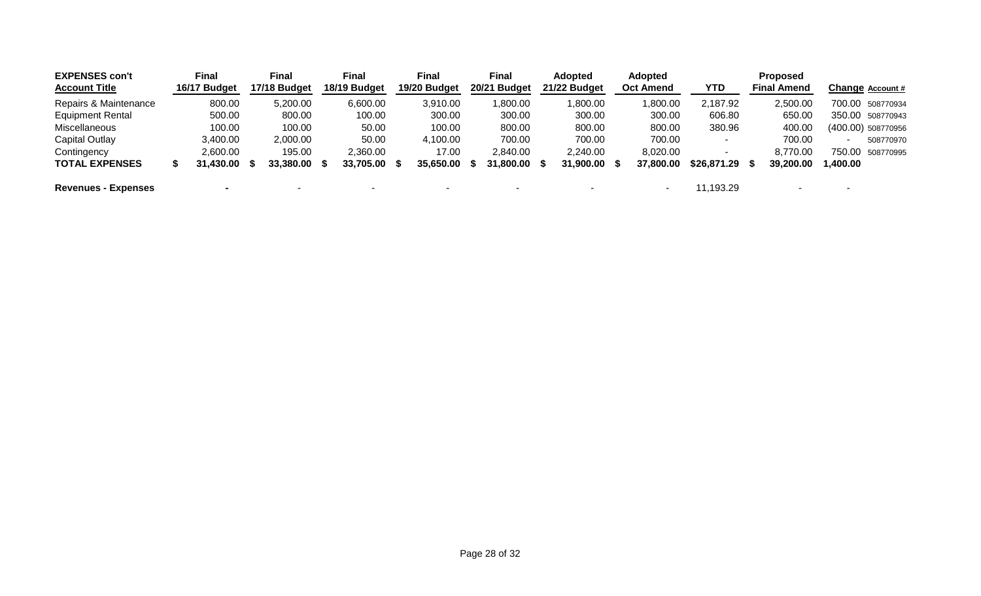| <b>EXPENSES con't</b><br><b>Account Title</b> | <b>Final</b><br>16/17 Budget | <b>Final</b><br>17/18 Budget | Final<br>18/19 Budget | Final<br>19/20 Budget | <b>Final</b><br>20/21 Budget | <b>Adopted</b><br>21/22 Budget | Adopted<br><b>Oct Amend</b> | <b>YTD</b>               | <b>Proposed</b><br><b>Final Amend</b> |          | Change Account #   |
|-----------------------------------------------|------------------------------|------------------------------|-----------------------|-----------------------|------------------------------|--------------------------------|-----------------------------|--------------------------|---------------------------------------|----------|--------------------|
| Repairs & Maintenance                         | 800.00                       | 5,200.00                     | 6,600.00              | 3,910.00              | ,800.00                      | 1,800.00                       | 00.00,1                     | 2,187.92                 | 2,500.00                              |          | 700.00 508770934   |
| <b>Equipment Rental</b>                       | 500.00                       | 800.00                       | 100.00                | 300.00                | 300.00                       | 300.00                         | 300.00                      | 606.80                   | 650.00                                |          | 350.00 508770943   |
| Miscellaneous                                 | 100.00                       | 100.00                       | 50.00                 | 100.00                | 800.00                       | 800.00                         | 800.00                      | 380.96                   | 400.00                                |          | (400.00) 508770956 |
| Capital Outlay                                | 3,400.00                     | 2,000.00                     | 50.00                 | 4,100.00              | 700.00                       | 700.00                         | 700.00                      | $\overline{\phantom{a}}$ | 700.00                                | $\sim$   | 508770970          |
| Contingency                                   | 2,600.00                     | 195.00                       | 2,360.00              | 17.00                 | 2,840.00                     | 2,240.00                       | 8,020.00                    | -                        | 8,770.00                              |          | 750.00 508770995   |
| <b>TOTAL EXPENSES</b>                         | 31,430.00                    | 33,380.00 \$                 | 33,705.00             | 35,650.00             | 31,800.00 \$                 | 31,900.00                      | 37,800.00                   | $$26,871.29$ \$          | 39,200,00                             | 1,400.00 |                    |
| <b>Revenues - Expenses</b>                    |                              |                              |                       | $\sim$                | $\overline{\phantom{a}}$     |                                | ۰                           | 11,193.29                |                                       | $\sim$   |                    |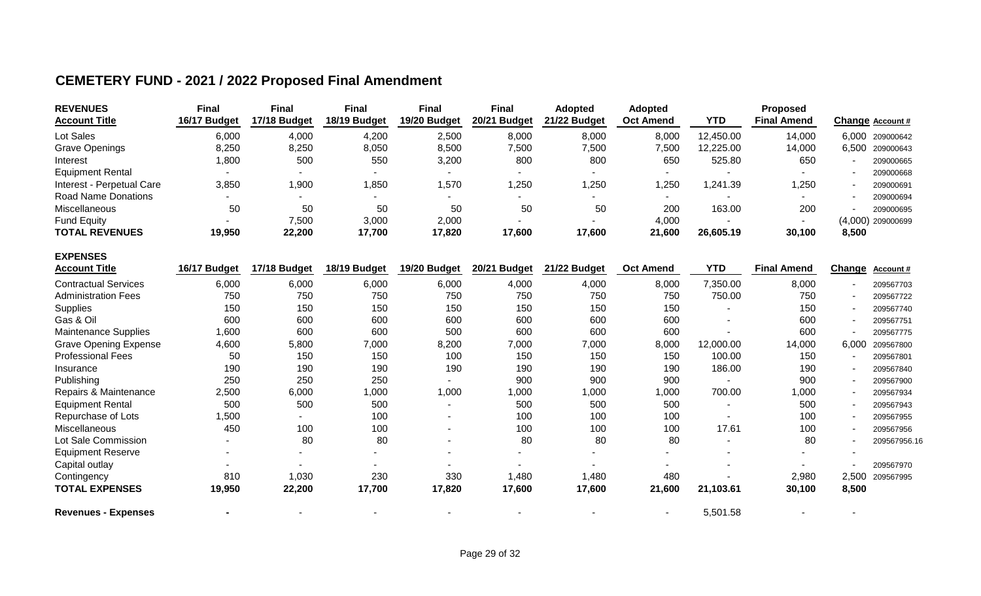### **CEMETERY FUND - 2021 / 2022 Proposed Final Amendment**

| <b>REVENUES</b>                         | <b>Final</b> | <b>Final</b> | <b>Final</b> | <b>Final</b> | <b>Final</b>           | <b>Adopted</b> | <b>Adopted</b>   |                          | Proposed           |                          |                     |
|-----------------------------------------|--------------|--------------|--------------|--------------|------------------------|----------------|------------------|--------------------------|--------------------|--------------------------|---------------------|
| <b>Account Title</b>                    | 16/17 Budget | 17/18 Budget | 18/19 Budget | 19/20 Budget | 20/21<br><b>Budget</b> | 21/22 Budget   | <b>Oct Amend</b> | <b>YTD</b>               | <b>Final Amend</b> |                          | Change Account #    |
| Lot Sales                               | 6,000        | 4,000        | 4,200        | 2,500        | 8,000                  | 8,000          | 8,000            | 12,450.00                | 14,000             | 6,000                    | 209000642           |
| <b>Grave Openings</b>                   | 8,250        | 8,250        | 8,050        | 8,500        | 7,500                  | 7,500          | 7,500            | 12,225.00                | 14,000             | 6,500                    | 209000643           |
| Interest                                | 1,800        | 500          | 550          | 3,200        | 800                    | 800            | 650              | 525.80                   | 650                | $\blacksquare$           | 209000665           |
| <b>Equipment Rental</b>                 |              |              |              |              |                        |                |                  |                          |                    |                          | 209000668           |
| Interest - Perpetual Care               | 3,850        | 1,900        | 1,850        | 1,570        | 1,250                  | 1,250          | 1,250            | 1,241.39                 | 1,250              |                          | 209000691           |
| Road Name Donations                     |              |              |              |              |                        |                |                  |                          |                    |                          | 209000694           |
| Miscellaneous                           | 50           | 50           | 50           | 50           | 50                     | 50             | 200              | 163.00                   | 200                |                          | 209000695           |
| <b>Fund Equity</b>                      |              | 7,500        | 3,000        | 2,000        |                        |                | 4,000            |                          |                    |                          | $(4,000)$ 209000699 |
| <b>TOTAL REVENUES</b>                   | 19,950       | 22,200       | 17,700       | 17,820       | 17,600                 | 17,600         | 21,600           | 26,605.19                | 30,100             | 8,500                    |                     |
| <b>EXPENSES</b><br><b>Account Title</b> | 16/17 Budget | 17/18 Budget | 18/19 Budget | 19/20 Budget | 20/21 Budget           | 21/22 Budget   | <b>Oct Amend</b> | <b>YTD</b>               | <b>Final Amend</b> | <b>Change</b>            | Account #           |
| <b>Contractual Services</b>             | 6,000        | 6,000        | 6,000        | 6,000        | 4,000                  | 4,000          | 8,000            | 7,350.00                 | 8,000              | $\overline{\phantom{a}}$ | 209567703           |
| <b>Administration Fees</b>              | 750          | 750          | 750          | 750          | 750                    | 750            | 750              | 750.00                   | 750                |                          | 209567722           |
| <b>Supplies</b>                         | 150          | 150          | 150          | 150          | 150                    | 150            | 150              |                          | 150                | $\blacksquare$           | 209567740           |
| Gas & Oil                               | 600          | 600          | 600          | 600          | 600                    | 600            | 600              |                          | 600                |                          | 209567751           |
| <b>Maintenance Supplies</b>             | 1,600        | 600          | 600          | 500          | 600                    | 600            | 600              |                          | 600                |                          | 209567775           |
| <b>Grave Opening Expense</b>            | 4,600        | 5,800        | 7,000        | 8,200        | 7,000                  | 7,000          | 8,000            | 12,000.00                | 14,000             | 6.000                    | 209567800           |
| <b>Professional Fees</b>                | 50           | 150          | 150          | 100          | 150                    | 150            | 150              | 100.00                   | 150                | ٠                        | 209567801           |
| Insurance                               | 190          | 190          | 190          | 190          | 190                    | 190            | 190              | 186.00                   | 190                | $\blacksquare$           | 209567840           |
| Publishing                              | 250          | 250          | 250          |              | 900                    | 900            | 900              |                          | 900                |                          | 209567900           |
| Repairs & Maintenance                   | 2,500        | 6,000        | 1,000        | 1,000        | 1,000                  | 1,000          | 1,000            | 700.00                   | 1,000              |                          | 209567934           |
| <b>Equipment Rental</b>                 | 500          | 500          | 500          |              | 500                    | 500            | 500              | $\sim$                   | 500                | $\overline{\phantom{a}}$ | 209567943           |
| Repurchase of Lots                      | ,500         |              | 100          |              | 100                    | 100            | 100              | $\overline{\phantom{a}}$ | 100                |                          | 209567955           |
| Miscellaneous                           | 450          | 100          | 100          |              | 100                    | 100            | 100              | 17.61                    | 100                |                          | 209567956           |

**Revenues - Expenses -** - - - - - - 5,501.58 - -

Miscellaneous 450 100 100 - 100 100 100 17.61 100 - 209567956 Lot Sale Commission - 80 80 - 80 80 80 - 80 - 209567956.16

Capital outlay - - - - - - - - - - 209567970 Contingency 810 1,030 230 330 1,480 1,480 480 - 2,980 2,500 209567995

Equipment Reserve - - - - - - - - - -

**TOTAL EXPENSES 19,950 22,200 17,700 17,820 17,600 17,600 21,600 21,103.61 30,100 8,500**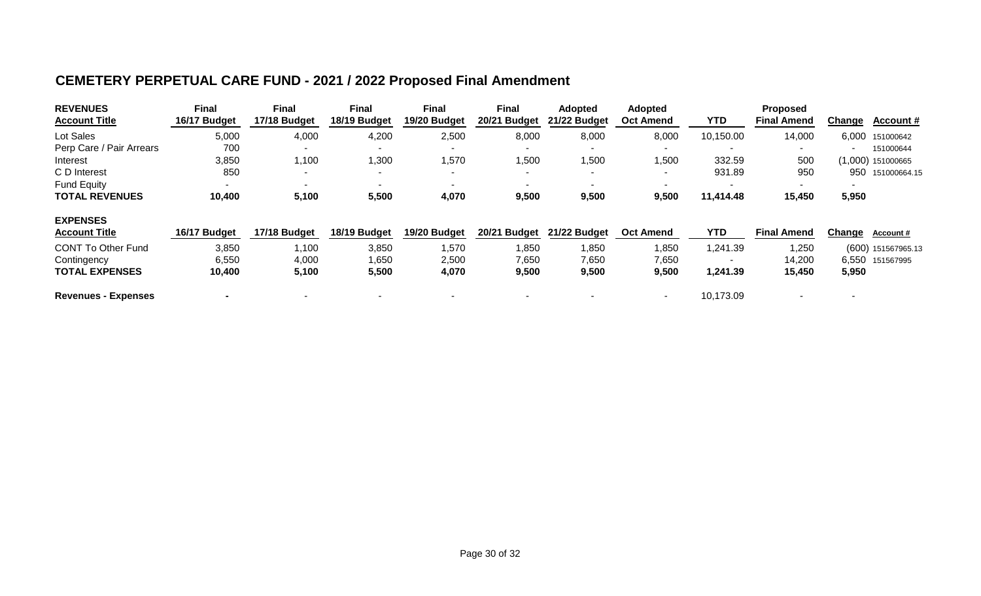## **CEMETERY PERPETUAL CARE FUND - 2021 / 2022 Proposed Final Amendment**

| <b>REVENUES</b><br><b>Account Title</b> | <b>Final</b><br>16/17 Budget | <b>Final</b><br>17/18 Budget | <b>Final</b><br>18/19 Budget | <b>Final</b><br>19/20 Budget | <b>Final</b><br>20/21 Budget | <b>Adopted</b><br>21/22 Budget | <b>Adopted</b><br><b>Oct Amend</b> | YTD       | <b>Proposed</b><br><b>Final Amend</b> | Change | <b>Account #</b>   |
|-----------------------------------------|------------------------------|------------------------------|------------------------------|------------------------------|------------------------------|--------------------------------|------------------------------------|-----------|---------------------------------------|--------|--------------------|
| Lot Sales                               | 5,000                        | 4,000                        | 4,200                        | 2,500                        | 8,000                        | 8,000                          | 8,000                              | 10,150.00 | 14,000                                | 6,000  | 151000642          |
| Perp Care / Pair Arrears                | 700                          |                              |                              |                              |                              |                                |                                    |           | -                                     |        | 151000644          |
| Interest                                | 3,850                        | 1,100                        | 1,300                        | ,570                         | 1,500                        | 1,500                          | 1,500                              | 332.59    | 500                                   |        | (1,000) 151000665  |
| C D Interest                            | 850                          |                              |                              | $\overline{\phantom{a}}$     | -                            | $\overline{\phantom{0}}$       |                                    | 931.89    | 950                                   | 950    | 151000664.15       |
| <b>Fund Equity</b>                      | $\sim$                       |                              | $\sim$                       | $\sim$                       |                              |                                |                                    |           | $\blacksquare$                        |        |                    |
| <b>TOTAL REVENUES</b>                   | 10,400                       | 5,100                        | 5,500                        | 4,070                        | 9,500                        | 9,500                          | 9,500                              | 11,414.48 | 15,450                                | 5,950  |                    |
| <b>EXPENSES</b>                         |                              |                              |                              |                              |                              |                                |                                    |           |                                       |        |                    |
| <b>Account Title</b>                    | 16/17 Budget                 | 17/18 Budget                 | 18/19 Budget                 | 19/20 Budget                 | 20/21 Budget                 | 21/22 Budget                   | <b>Oct Amend</b>                   | YTD       | <b>Final Amend</b>                    | Change | <b>Account #</b>   |
| <b>CONT To Other Fund</b>               | 3,850                        | 1,100                        | 3,850                        | ,570                         | 1,850                        | 1,850                          | 1,850                              | .241.39   | 1,250                                 |        | (600) 151567965.13 |
| Contingency                             | 6,550                        | 4,000                        | 1,650                        | 2,500                        | 7,650                        | 7,650                          | 7,650                              |           | 14,200                                | 6,550  | 151567995          |
| <b>TOTAL EXPENSES</b>                   | 10,400                       | 5,100                        | 5,500                        | 4,070                        | 9,500                        | 9,500                          | 9,500                              | 1,241.39  | 15,450                                | 5,950  |                    |
| <b>Revenues - Expenses</b>              |                              |                              |                              |                              |                              |                                | $\blacksquare$                     | 10,173.09 |                                       |        |                    |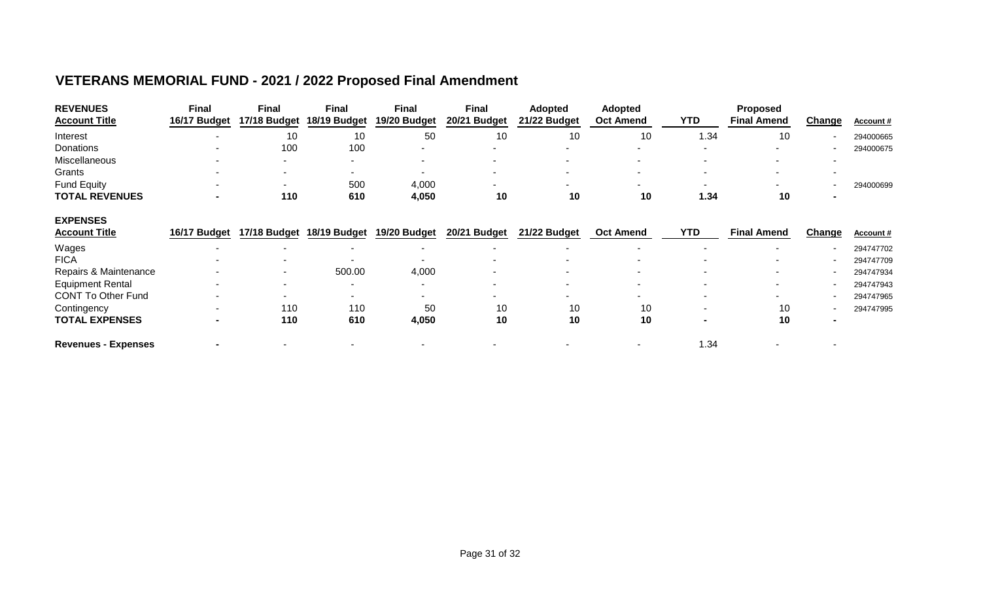## **VETERANS MEMORIAL FUND - 2021 / 2022 Proposed Final Amendment**

| <b>REVENUES</b><br><b>Account Title</b> | <b>Final</b><br>16/17 Budget | <b>Final</b><br>17/18 Budget | <b>Final</b><br>18/19 Budget | <b>Final</b><br>19/20 Budget | <b>Final</b><br>20/21 Budget | <b>Adopted</b><br>21/22 Budget | <b>Adopted</b><br><b>Oct Amend</b> | YTD  | <b>Proposed</b><br><b>Final Amend</b> | <b>Change</b> | Account#         |
|-----------------------------------------|------------------------------|------------------------------|------------------------------|------------------------------|------------------------------|--------------------------------|------------------------------------|------|---------------------------------------|---------------|------------------|
| Interest                                |                              | 10                           | 10                           | 50                           | 10                           | 10                             | 10                                 | 1.34 | 10                                    |               | 294000665        |
| Donations                               |                              | 100                          | 100                          |                              |                              |                                |                                    |      |                                       |               | 294000675        |
| Miscellaneous                           |                              |                              |                              |                              |                              |                                |                                    |      |                                       |               |                  |
| Grants                                  |                              |                              |                              |                              |                              |                                |                                    |      |                                       |               |                  |
| <b>Fund Equity</b>                      |                              | $\sim$                       | 500                          | 4,000                        |                              | -                              | $\blacksquare$                     |      | $\sim$                                |               | 294000699        |
| <b>TOTAL REVENUES</b>                   |                              | 110                          | 610                          | 4,050                        | 10                           | 10                             | 10                                 | 1.34 | 10                                    |               |                  |
| <b>EXPENSES</b>                         |                              |                              |                              |                              |                              |                                |                                    |      |                                       |               |                  |
| <b>Account Title</b>                    | 16/17 Budget                 | 17/18 Budget                 | 18/19 Budget                 | 19/20 Budget                 | 20/21 Budget                 | 21/22 Budget                   | <b>Oct Amend</b>                   | YTD  | <b>Final Amend</b>                    | Change        | <b>Account #</b> |
| Wages                                   |                              |                              |                              |                              |                              |                                |                                    |      |                                       |               | 294747702        |
| <b>FICA</b>                             |                              |                              |                              |                              |                              |                                |                                    |      |                                       |               | 294747709        |
| Repairs & Maintenance                   |                              |                              | 500.00                       | 4,000                        |                              |                                |                                    |      |                                       |               | 294747934        |
| <b>Equipment Rental</b>                 |                              |                              |                              |                              |                              |                                |                                    |      | $\sim$                                |               | 294747943        |
| <b>CONT To Other Fund</b>               |                              |                              |                              |                              |                              |                                |                                    |      |                                       |               | 294747965        |
| Contingency                             |                              | 110                          | 110                          | 50                           | 10                           | 10                             | 10                                 |      | 10                                    |               | 294747995        |
| <b>TOTAL EXPENSES</b>                   |                              | 110                          | 610                          | 4,050                        | 10                           | 10                             | 10                                 |      | 10                                    |               |                  |
| <b>Revenues - Expenses</b>              |                              |                              |                              |                              |                              |                                |                                    | 1.34 |                                       |               |                  |